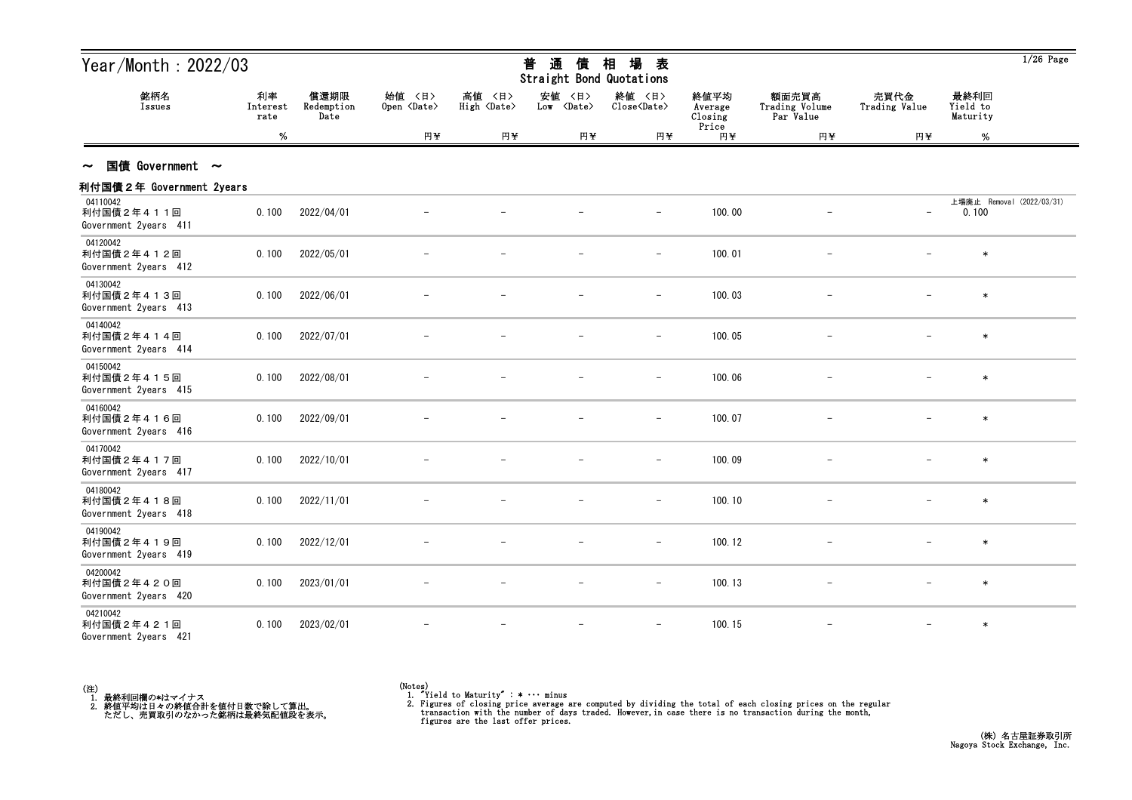| Year/Month: 2022/03                             |                        |                            |                              |                                 | 通<br>普<br>債<br>Straight Bond Quotations | 場<br>相<br>表                   |                            |                                      |                          |                              | $1/26$ Page               |
|-------------------------------------------------|------------------------|----------------------------|------------------------------|---------------------------------|-----------------------------------------|-------------------------------|----------------------------|--------------------------------------|--------------------------|------------------------------|---------------------------|
| 銘柄名<br>Issues                                   | 利率<br>Interest<br>rate | 償還期限<br>Redemption<br>Date | 始値 〈日〉<br>Open <date></date> | 高値<br>〈日〉<br>High <date></date> | 安値 〈日〉<br>Low <date></date>             | 終値 〈日〉<br>Close <date></date> | 終値平均<br>Average<br>Closing | 額面売買高<br>Trading Volume<br>Par Value | 売買代金<br>Trading Value    | 最終利回<br>Yield to<br>Maturity |                           |
|                                                 | %                      |                            | 円半                           | 円半                              | 円半                                      | 円半                            | Price<br>円半                | 円半                                   | 円半                       | %                            |                           |
| 国債 Government $\sim$<br>$\sim$                  |                        |                            |                              |                                 |                                         |                               |                            |                                      |                          |                              |                           |
| 利付国債2年 Government 2years                        |                        |                            |                              |                                 |                                         |                               |                            |                                      |                          |                              |                           |
| 04110042<br>利付国債2年411回<br>Government 2years 411 | 0.100                  | 2022/04/01                 |                              |                                 |                                         |                               | 100.00                     |                                      | $\overline{\phantom{a}}$ | 0.100                        | 上場廃止 Removal (2022/03/31) |
| 04120042<br>利付国債2年412回<br>Government 2years 412 | 0.100                  | 2022/05/01                 |                              |                                 |                                         |                               | 100.01                     |                                      |                          | $\ast$                       |                           |
| 04130042<br>利付国債2年413回<br>Government 2years 413 | 0.100                  | 2022/06/01                 |                              |                                 |                                         |                               | 100.03                     |                                      |                          | $\ast$                       |                           |
| 04140042<br>利付国債2年414回<br>Government 2years 414 | 0.100                  | 2022/07/01                 |                              |                                 |                                         |                               | 100.05                     |                                      |                          | $\ast$                       |                           |
| 04150042<br>利付国債2年415回<br>Government 2years 415 | 0.100                  | 2022/08/01                 |                              |                                 |                                         | $\overline{\phantom{m}}$      | 100.06                     |                                      |                          | $\ast$                       |                           |
| 04160042<br>利付国債2年416回<br>Government 2years 416 | 0.100                  | 2022/09/01                 |                              |                                 |                                         |                               | 100.07                     |                                      |                          | $\ast$                       |                           |
| 04170042<br>利付国債2年417回<br>Government 2years 417 | 0.100                  | 2022/10/01                 |                              |                                 |                                         | $\overline{\phantom{a}}$      | 100.09                     |                                      |                          | $\ast$                       |                           |
| 04180042<br>利付国債2年418回<br>Government 2years 418 | 0.100                  | 2022/11/01                 |                              |                                 |                                         | $-$                           | 100.10                     |                                      | $\overline{\phantom{m}}$ | $\ast$                       |                           |
| 04190042<br>利付国債2年419回<br>Government 2years 419 | 0.100                  | 2022/12/01                 |                              |                                 |                                         |                               | 100.12                     |                                      |                          |                              |                           |
| 04200042<br>利付国債2年420回<br>Government 2years 420 | 0.100                  | 2023/01/01                 |                              |                                 |                                         | $\overline{\phantom{a}}$      | 100.13                     |                                      |                          | $\ast$                       |                           |
| 04210042<br>利付国債2年421回<br>Government 2years 421 | 0.100                  | 2023/02/01                 |                              |                                 | $\qquad \qquad -$                       | $-$                           | 100.15                     |                                      | $\overline{\phantom{m}}$ | $\ast$                       |                           |



<sup>(</sup>Notes) 1. "Yield to Maturity" : \* ・・・ minus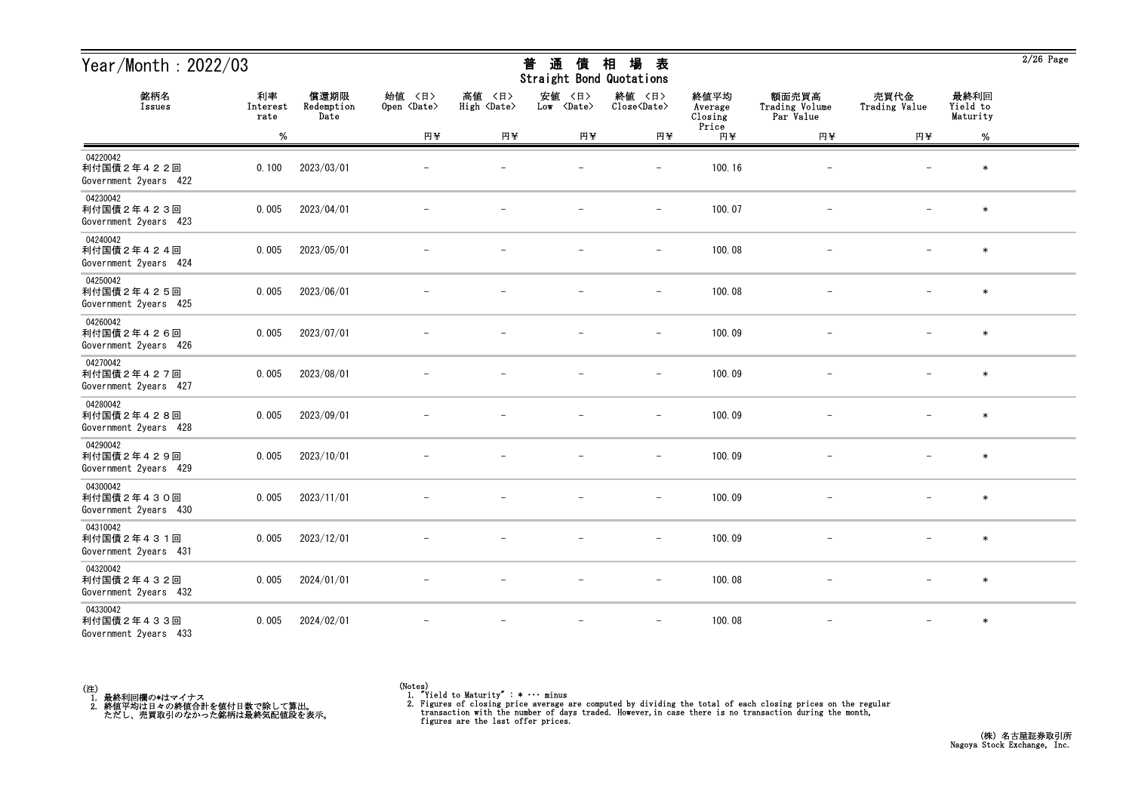| Year/Month: 2022/03                             |                        |                            |                              |                              | 通<br>普<br>債<br>Straight Bond Quotations | 場<br>相<br>表                   |                            |                                      |                          |                              | $2/26$ Page |
|-------------------------------------------------|------------------------|----------------------------|------------------------------|------------------------------|-----------------------------------------|-------------------------------|----------------------------|--------------------------------------|--------------------------|------------------------------|-------------|
| 銘柄名<br>Issues                                   | 利率<br>Interest<br>rate | 償還期限<br>Redemption<br>Date | 始値 〈日〉<br>Open <date></date> | 高値 〈日〉<br>High <date></date> | 安値<br>〈日〉<br>Low <date></date>          | 終値 〈日〉<br>Close <date></date> | 終値平均<br>Average<br>Closing | 額面売買高<br>Trading Volume<br>Par Value | 売買代金<br>Trading Value    | 最終利回<br>Yield to<br>Maturity |             |
|                                                 | $\%$                   |                            | 円半                           | 円半                           | 円半                                      | 円半                            | Price<br>円半                | 円半                                   | 円半                       | $\%$                         |             |
| 04220042<br>利付国債2年422回<br>Government 2years 422 | 0.100                  | 2023/03/01                 |                              |                              |                                         |                               | 100.16                     |                                      |                          | $\ast$                       |             |
| 04230042<br>利付国債2年423回<br>Government 2years 423 | 0.005                  | 2023/04/01                 |                              |                              |                                         | $\qquad \qquad -$             | 100.07                     | $\overline{\phantom{m}}$             |                          | $\ast$                       |             |
| 04240042<br>利付国債2年424回<br>Government 2years 424 | 0.005                  | 2023/05/01                 |                              |                              |                                         | $\overline{\phantom{m}}$      | 100.08                     |                                      |                          | $\ast$                       |             |
| 04250042<br>利付国債2年425回<br>Government 2years 425 | 0.005                  | 2023/06/01                 |                              |                              |                                         | $\overline{\phantom{a}}$      | 100.08                     |                                      |                          | $\ast$                       |             |
| 04260042<br>利付国債2年426回<br>Government 2years 426 | 0.005                  | 2023/07/01                 |                              |                              |                                         | $\overline{\phantom{m}}$      | 100.09                     |                                      |                          | $\ast$                       |             |
| 04270042<br>利付国債2年427回<br>Government 2years 427 | 0.005                  | 2023/08/01                 |                              |                              |                                         | $\overline{\phantom{m}}$      | 100.09                     | $\overline{\phantom{m}}$             |                          | $\ast$                       |             |
| 04280042<br>利付国債2年428回<br>Government 2years 428 | 0.005                  | 2023/09/01                 |                              |                              |                                         | $\overline{\phantom{a}}$      | 100.09                     |                                      |                          | $\ast$                       |             |
| 04290042<br>利付国債2年429回<br>Government 2years 429 | 0.005                  | 2023/10/01                 |                              |                              |                                         | $\overline{\phantom{m}}$      | 100.09                     |                                      |                          | $\ast$                       |             |
| 04300042<br>利付国債2年430回<br>Government 2years 430 | 0.005                  | 2023/11/01                 |                              |                              |                                         |                               | 100.09                     |                                      |                          | $\ast$                       |             |
| 04310042<br>利付国債2年431回<br>Government 2years 431 | 0.005                  | 2023/12/01                 |                              |                              | $\overline{\phantom{m}}$                | $\overline{\phantom{m}}$      | 100.09                     |                                      | $\overline{\phantom{m}}$ | $\ast$                       |             |
| 04320042<br>利付国債2年432回<br>Government 2years 432 | 0.005                  | 2024/01/01                 | $\overline{\phantom{m}}$     | $\overline{\phantom{m}}$     | $\overline{\phantom{m}}$                | $-$                           | 100.08                     | $-$                                  | $-$                      | $\ast$                       |             |
| 04330042<br>利付国債2年433回<br>Government 2years 433 | 0.005                  | 2024/02/01                 |                              | $\overline{\phantom{m}}$     | $\overline{\phantom{m}}$                | $\overline{\phantom{m}}$      | 100.08                     | $\overline{\phantom{a}}$             | $-$                      | $\ast$                       |             |

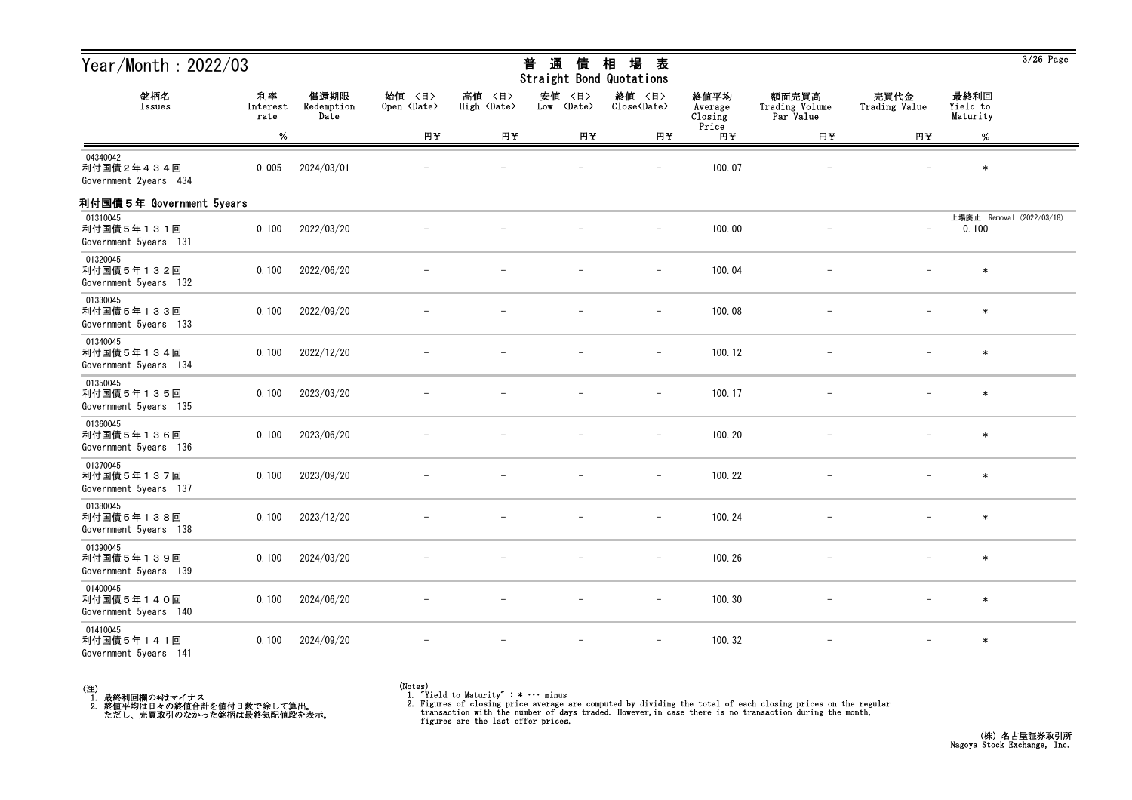| Year/Month: $2022/03$                           |                        |                            |                              |                              | 普<br>通<br>債<br>Straight Bond Quotations | 場<br>相<br>表                   |                            |                                      |                          |                                    | $3/26$ Page |
|-------------------------------------------------|------------------------|----------------------------|------------------------------|------------------------------|-----------------------------------------|-------------------------------|----------------------------|--------------------------------------|--------------------------|------------------------------------|-------------|
| 銘柄名<br>Issues                                   | 利率<br>Interest<br>rate | 償還期限<br>Redemption<br>Date | 始値 〈日〉<br>Open <date></date> | 高値 〈日〉<br>High <date></date> | 安値<br>〈日〉<br>Low <date></date>          | 終値 〈日〉<br>Close <date></date> | 終値平均<br>Average<br>Closing | 額面売買高<br>Trading Volume<br>Par Value | 売買代金<br>Trading Value    | 最終利回<br>Yield to<br>Maturity       |             |
|                                                 | %                      |                            | 円半                           | 円半                           | 円半                                      | 円半                            | Price<br>円半                | 円半                                   | 円半                       | $\%$                               |             |
| 04340042<br>利付国債2年434回<br>Government 2years 434 | 0.005                  | 2024/03/01                 |                              |                              |                                         |                               | 100.07                     |                                      |                          | $\ast$                             |             |
| 利付国債5年 Government 5years                        |                        |                            |                              |                              |                                         |                               |                            |                                      |                          |                                    |             |
| 01310045<br>利付国債5年131回<br>Government 5years 131 | 0.100                  | 2022/03/20                 |                              |                              |                                         | $\overline{\phantom{m}}$      | 100.00                     |                                      | $\qquad \qquad -$        | 上場廃止 Removal (2022/03/18)<br>0.100 |             |
| 01320045<br>利付国債5年132回<br>Government 5years 132 | 0.100                  | 2022/06/20                 |                              |                              |                                         | $\overline{\phantom{m}}$      | 100.04                     |                                      |                          | $\ast$                             |             |
| 01330045<br>利付国債5年133回<br>Government 5years 133 | 0.100                  | 2022/09/20                 |                              |                              |                                         |                               | 100.08                     |                                      |                          | $\ast$                             |             |
| 01340045<br>利付国債5年134回<br>Government 5years 134 | 0.100                  | 2022/12/20                 |                              |                              |                                         |                               | 100.12                     |                                      |                          | $\ast$                             |             |
| 01350045<br>利付国債5年135回<br>Government 5years 135 | 0.100                  | 2023/03/20                 |                              |                              |                                         | $\overline{\phantom{m}}$      | 100.17                     |                                      |                          | $\ast$                             |             |
| 01360045<br>利付国債5年136回<br>Government 5years 136 | 0.100                  | 2023/06/20                 |                              |                              |                                         | $\overline{\phantom{0}}$      | 100.20                     |                                      |                          | $\ast$                             |             |
| 01370045<br>利付国債5年137回<br>Government 5years 137 | 0.100                  | 2023/09/20                 |                              |                              |                                         | $\overline{\phantom{m}}$      | 100.22                     |                                      |                          | $\ast$                             |             |
| 01380045<br>利付国債5年138回<br>Government 5years 138 | 0.100                  | 2023/12/20                 |                              |                              |                                         |                               | 100.24                     |                                      |                          | $\ast$                             |             |
| 01390045<br>利付国債5年139回<br>Government 5years 139 | 0.100                  | 2024/03/20                 |                              |                              |                                         | $\overline{\phantom{a}}$      | 100.26                     |                                      | $\qquad \qquad -$        | $\ast$                             |             |
| 01400045<br>利付国債5年140回<br>Government 5years 140 | 0.100                  | 2024/06/20                 |                              |                              |                                         | $\overline{\phantom{m}}$      | 100.30                     |                                      | $\overline{\phantom{0}}$ | $\ast$                             |             |
| 01410045<br>利付国債5年141回<br>Government 5years 141 | 0.100                  | 2024/09/20                 |                              |                              |                                         | $\overline{\phantom{m}}$      | 100.32                     |                                      | $-$                      | $\ast$                             |             |



<sup>(</sup>Notes) 1. "Yield to Maturity" : \* ・・・ minus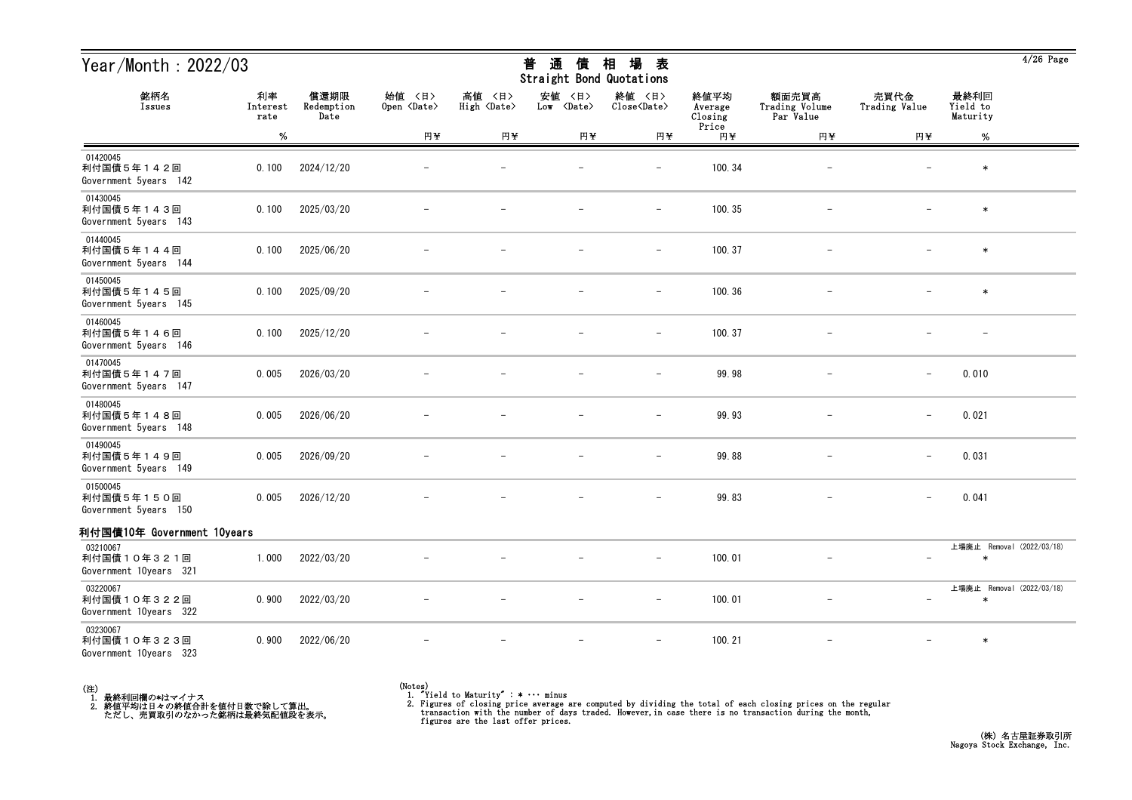| Year/Month : 2022/03                              |                        |                            |                              |                                   | 通<br>普<br>債<br>Straight Bond Quotations | 場<br>相<br>表                   |                            |                                      |                          |                                     | 4/20 Page |
|---------------------------------------------------|------------------------|----------------------------|------------------------------|-----------------------------------|-----------------------------------------|-------------------------------|----------------------------|--------------------------------------|--------------------------|-------------------------------------|-----------|
| 銘柄名<br>Issues                                     | 利率<br>Interest<br>rate | 償還期限<br>Redemption<br>Date | 始値 〈日〉<br>Open <date></date> | 高値 〈日〉<br>High<br><b>Oate&gt;</b> | 安値<br>〈日〉<br>Low <date></date>          | 終値 〈日〉<br>Close <date></date> | 終値平均<br>Average<br>Closing | 額面売買高<br>Trading Volume<br>Par Value | 売買代金<br>Trading Value    | 最終利回<br>Yield to<br>Maturity        |           |
|                                                   | %                      |                            | 円半                           | 円半                                | 円半                                      | 円半                            | Price<br>円半                | 円半                                   | 円半                       | %                                   |           |
| 01420045<br>利付国債5年142回<br>Government 5years 142   | 0.100                  | 2024/12/20                 | $\overline{\phantom{m}}$     |                                   | $\overline{\phantom{0}}$                | $\overline{\phantom{m}}$      | 100.34                     |                                      |                          | $\ast$                              |           |
| 01430045<br>利付国債5年143回<br>Government 5years 143   | 0.100                  | 2025/03/20                 |                              |                                   |                                         | $\overline{\phantom{0}}$      | 100.35                     |                                      |                          | $\ast$                              |           |
| 01440045<br>利付国債5年144回<br>Government 5years 144   | 0.100                  | 2025/06/20                 |                              |                                   |                                         |                               | 100.37                     |                                      |                          | $\ast$                              |           |
| 01450045<br>利付国債5年145回<br>Government 5years 145   | 0.100                  | 2025/09/20                 |                              |                                   |                                         |                               | 100.36                     |                                      |                          | $\ast$                              |           |
| 01460045<br>利付国債5年146回<br>Government 5years 146   | 0.100                  | 2025/12/20                 |                              |                                   |                                         | $\qquad \qquad -$             | 100.37                     |                                      |                          |                                     |           |
| 01470045<br>利付国債5年147回<br>Government 5years 147   | 0.005                  | 2026/03/20                 |                              |                                   |                                         | $\overline{\phantom{0}}$      | 99.98                      |                                      |                          | 0.010                               |           |
| 01480045<br>利付国債5年148回<br>Government 5years 148   | 0.005                  | 2026/06/20                 |                              |                                   |                                         |                               | 99.93                      |                                      | $\overline{\phantom{0}}$ | 0.021                               |           |
| 01490045<br>利付国債5年149回<br>Government 5years 149   | 0.005                  | 2026/09/20                 | $\overline{\phantom{m}}$     |                                   | $\qquad \qquad -$                       | $\qquad \qquad -$             | 99.88                      | $\overline{\phantom{0}}$             | $\overline{\phantom{m}}$ | 0.031                               |           |
| 01500045<br>利付国債5年150回<br>Government 5years 150   | 0.005                  | 2026/12/20                 |                              |                                   |                                         | $-$                           | 99.83                      | $\overline{\phantom{0}}$             | $\overline{\phantom{m}}$ | 0.041                               |           |
| 利付国債10年 Government 10years                        |                        |                            |                              |                                   |                                         |                               |                            |                                      |                          |                                     |           |
| 03210067<br>利付国債10年321回<br>Government 10years 321 | 1.000                  | 2022/03/20                 |                              |                                   |                                         | $\overline{\phantom{m}}$      | 100.01                     |                                      |                          | 上場廃止 Removal (2022/03/18)<br>$\ast$ |           |
| 03220067<br>利付国債10年322回<br>Government 10years 322 | 0.900                  | 2022/03/20                 |                              |                                   |                                         | $\overline{\phantom{0}}$      | 100.01                     |                                      |                          | 上場廃止 Removal (2022/03/18)           |           |
| 03230067<br>利付国債10年323回<br>Government 10years 323 | 0.900                  | 2022/06/20                 |                              |                                   |                                         | $\qquad \qquad -$             | 100.21                     | $\overline{\phantom{0}}$             | $\overline{\phantom{m}}$ | $\ast$                              |           |



<sup>(</sup>Notes) 1. "Yield to Maturity" : \* ・・・ minus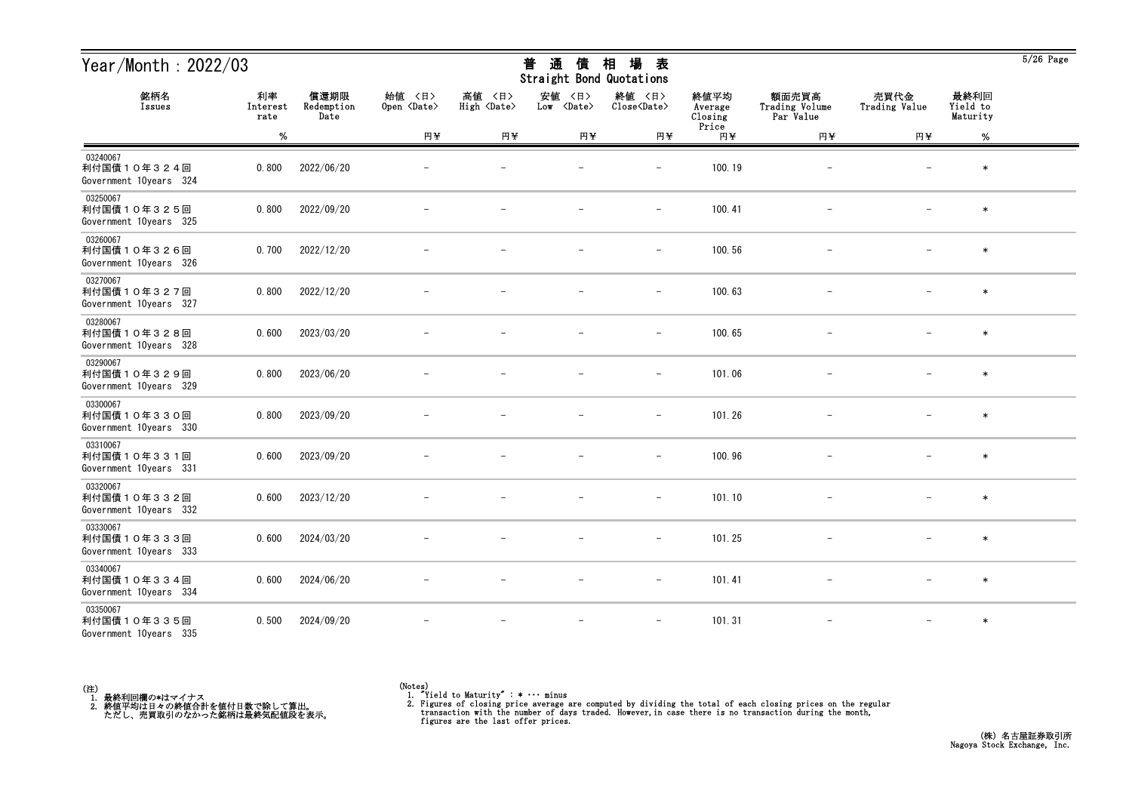| Year/Month: $2022/03$                             |                        |                            |                              |                                 | 通<br>普<br>債<br><b>Straight Bond Quotations</b> | 相<br>場<br>表                   |                            |                                      |                          |                              | $5/26$ Page |
|---------------------------------------------------|------------------------|----------------------------|------------------------------|---------------------------------|------------------------------------------------|-------------------------------|----------------------------|--------------------------------------|--------------------------|------------------------------|-------------|
| 銘柄名<br>Issues                                     | 利率<br>Interest<br>rate | 償還期限<br>Redemption<br>Date | 始値 〈日〉<br>Open <date></date> | 高値<br>〈日〉<br>High <date></date> | 安値<br>〈日〉<br>Low <date></date>                 | 終値 〈日〉<br>Close <date></date> | 終値平均<br>Average<br>Closing | 額面売買高<br>Trading Volume<br>Par Value | 売買代金<br>Trading Value    | 最終利回<br>Yield to<br>Maturity |             |
|                                                   | %                      |                            | 円半                           | 円半                              | 円半                                             | 円半                            | Price<br>円半                | 円半                                   | 円半                       | $\%$                         |             |
| 03240067<br>利付国債10年324回<br>Government 10years 324 | 0.800                  | 2022/06/20                 |                              |                                 |                                                | $\overline{\phantom{0}}$      | 100.19                     |                                      |                          | $\ast$                       |             |
| 03250067<br>利付国債10年325回<br>Government 10years 325 | 0.800                  | 2022/09/20                 |                              |                                 |                                                | $\qquad \qquad -$             | 100.41                     |                                      |                          | $\ast$                       |             |
| 03260067<br>利付国債10年326回<br>Government 10years 326 | 0.700                  | 2022/12/20                 |                              |                                 |                                                | $\overline{\phantom{m}}$      | 100.56                     |                                      |                          | $\ast$                       |             |
| 03270067<br>利付国債10年327回<br>Government 10years 327 | 0.800                  | 2022/12/20                 |                              |                                 |                                                | $\overline{\phantom{m}}$      | 100.63                     |                                      |                          | $\ast$                       |             |
| 03280067<br>利付国債10年328回<br>Government 10years 328 | 0.600                  | 2023/03/20                 |                              |                                 |                                                | $\qquad \qquad -$             | 100.65                     |                                      |                          | $\ast$                       |             |
| 03290067<br>利付国債10年329回<br>Government 10years 329 | 0.800                  | 2023/06/20                 |                              |                                 |                                                | $\overline{\phantom{m}}$      | 101.06                     |                                      |                          | $\ast$                       |             |
| 03300067<br>利付国債10年330回<br>Government 10years 330 | 0.800                  | 2023/09/20                 |                              |                                 |                                                | $\overline{\phantom{a}}$      | 101.26                     |                                      |                          | $\ast$                       |             |
| 03310067<br>利付国債10年331回<br>Government 10years 331 | 0.600                  | 2023/09/20                 |                              |                                 |                                                |                               | 100.96                     |                                      |                          | $\ast$                       |             |
| 03320067<br>利付国債10年332回<br>Government 10years 332 | 0.600                  | 2023/12/20                 |                              |                                 |                                                | $\overline{\phantom{0}}$      | 101.10                     |                                      |                          | $\ast$                       |             |
| 03330067<br>利付国債10年333回<br>Government 10years 333 | 0.600                  | 2024/03/20                 |                              |                                 |                                                | $\qquad \qquad -$             | 101.25                     |                                      | $\overline{\phantom{m}}$ | $\ast$                       |             |
| 03340067<br>利付国債10年334回<br>Government 10years 334 | 0.600                  | 2024/06/20                 |                              |                                 | $\overline{\phantom{m}}$                       | $ \,$                         | 101.41                     | $-$                                  | $-$                      | $\ast$                       |             |
| 03350067<br>利付国債10年335回<br>Government 10years 335 | 0.500                  | 2024/09/20                 |                              |                                 |                                                |                               | 101.31                     |                                      |                          | $\ast$                       |             |



 $\overline{5/26}$  Page

<sup>(</sup>Notes) 1. "Yield to Maturity" : \* ・・・ minus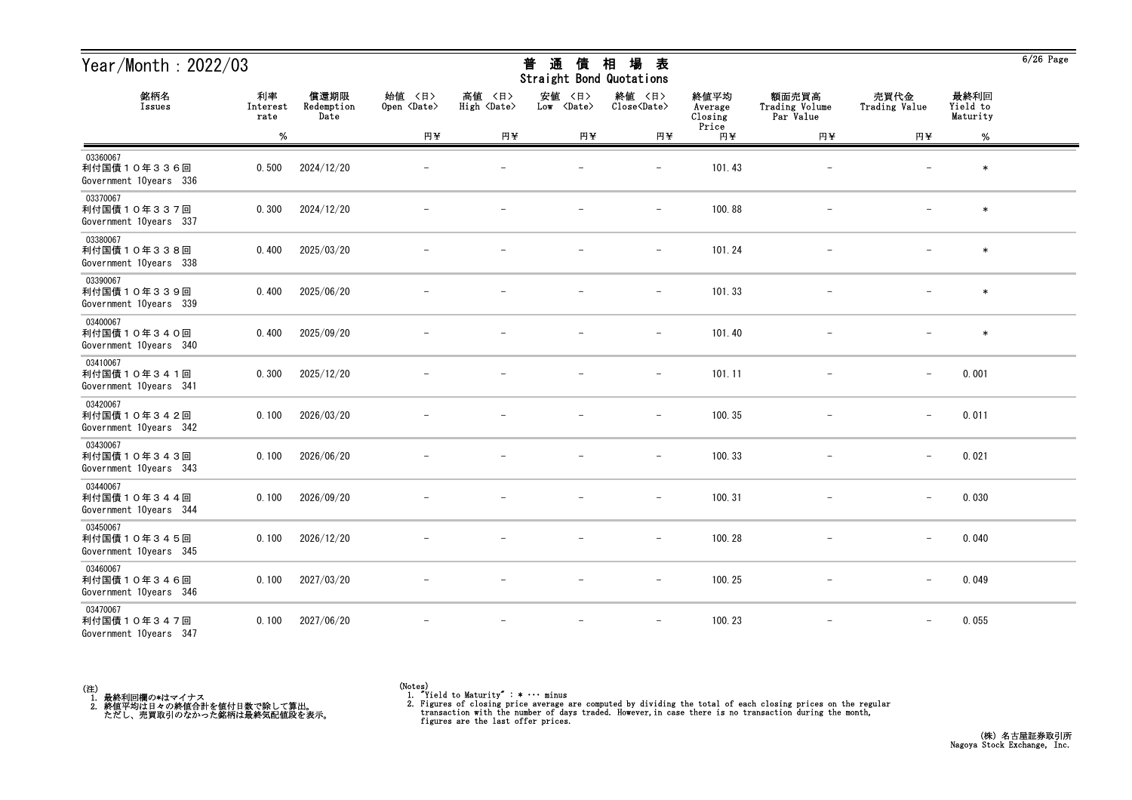| Year/Month: $2022/03$                             |                        |                            |                              |                                 | 通<br>普<br>債<br><b>Straight Bond Quotations</b> | 相<br>場<br>表                   |                            |                                      |                          |                              | $6/26$ Page |
|---------------------------------------------------|------------------------|----------------------------|------------------------------|---------------------------------|------------------------------------------------|-------------------------------|----------------------------|--------------------------------------|--------------------------|------------------------------|-------------|
| 銘柄名<br>Issues                                     | 利率<br>Interest<br>rate | 償還期限<br>Redemption<br>Date | 始值 〈日〉<br>Open <date></date> | 高値<br>〈日〉<br>High <date></date> | 安値<br>〈日〉<br>Low <date></date>                 | 終値 〈日〉<br>Close <date></date> | 終値平均<br>Average<br>Closing | 額面売買高<br>Trading Volume<br>Par Value | 売買代金<br>Trading Value    | 最終利回<br>Yield to<br>Maturity |             |
|                                                   | $\%$                   |                            | 円半                           | 円半                              | 円半                                             | 円半                            | Price<br>円半                | 円半                                   | 円半                       | $\%$                         |             |
| 03360067<br>利付国債10年336回<br>Government 10years 336 | 0.500                  | 2024/12/20                 |                              |                                 |                                                | $\overline{\phantom{0}}$      | 101.43                     |                                      |                          | $\ast$                       |             |
| 03370067<br>利付国債10年337回<br>Government 10years 337 | 0.300                  | 2024/12/20                 |                              |                                 |                                                | $\qquad \qquad -$             | 100.88                     |                                      |                          | $\ast$                       |             |
| 03380067<br>利付国債10年338回<br>Government 10years 338 | 0.400                  | 2025/03/20                 |                              |                                 |                                                | $\overline{\phantom{m}}$      | 101.24                     |                                      |                          | $\ast$                       |             |
| 03390067<br>利付国債10年339回<br>Government 10years 339 | 0.400                  | 2025/06/20                 |                              |                                 |                                                | $\overline{\phantom{m}}$      | 101.33                     |                                      |                          | $\ast$                       |             |
| 03400067<br>利付国債10年340回<br>Government 10years 340 | 0.400                  | 2025/09/20                 |                              |                                 |                                                | $\qquad \qquad -$             | 101.40                     |                                      |                          | $\ast$                       |             |
| 03410067<br>利付国債10年341回<br>Government 10years 341 | 0.300                  | 2025/12/20                 |                              |                                 |                                                | $\overline{\phantom{m}}$      | 101.11                     | $\qquad \qquad -$                    | $\overline{\phantom{m}}$ | 0.001                        |             |
| 03420067<br>利付国債10年342回<br>Government 10years 342 | 0.100                  | 2026/03/20                 |                              |                                 |                                                | $\overline{\phantom{a}}$      | 100.35                     |                                      | $\qquad \qquad -$        | 0.011                        |             |
| 03430067<br>利付国債10年343回<br>Government 10years 343 | 0.100                  | 2026/06/20                 |                              |                                 |                                                |                               | 100.33                     |                                      | $\overline{\phantom{m}}$ | 0.021                        |             |
| 03440067<br>利付国債10年344回<br>Government 10years 344 | 0.100                  | 2026/09/20                 |                              |                                 |                                                | $\overline{\phantom{0}}$      | 100.31                     |                                      | $\overline{\phantom{m}}$ | 0.030                        |             |
| 03450067<br>利付国債10年345回<br>Government 10years 345 | 0.100                  | 2026/12/20                 |                              |                                 |                                                | $\qquad \qquad -$             | 100.28                     |                                      | $\overline{\phantom{m}}$ | 0.040                        |             |
| 03460067<br>利付国債10年346回<br>Government 10years 346 | 0.100                  | 2027/03/20                 |                              |                                 | $\overline{\phantom{m}}$                       | $-$                           | 100.25                     | $-$                                  | $\qquad \qquad -$        | 0.049                        |             |
| 03470067<br>利付国債10年347回<br>Government 10years 347 | 0.100                  | 2027/06/20                 |                              |                                 |                                                |                               | 100.23                     |                                      |                          | 0.055                        |             |

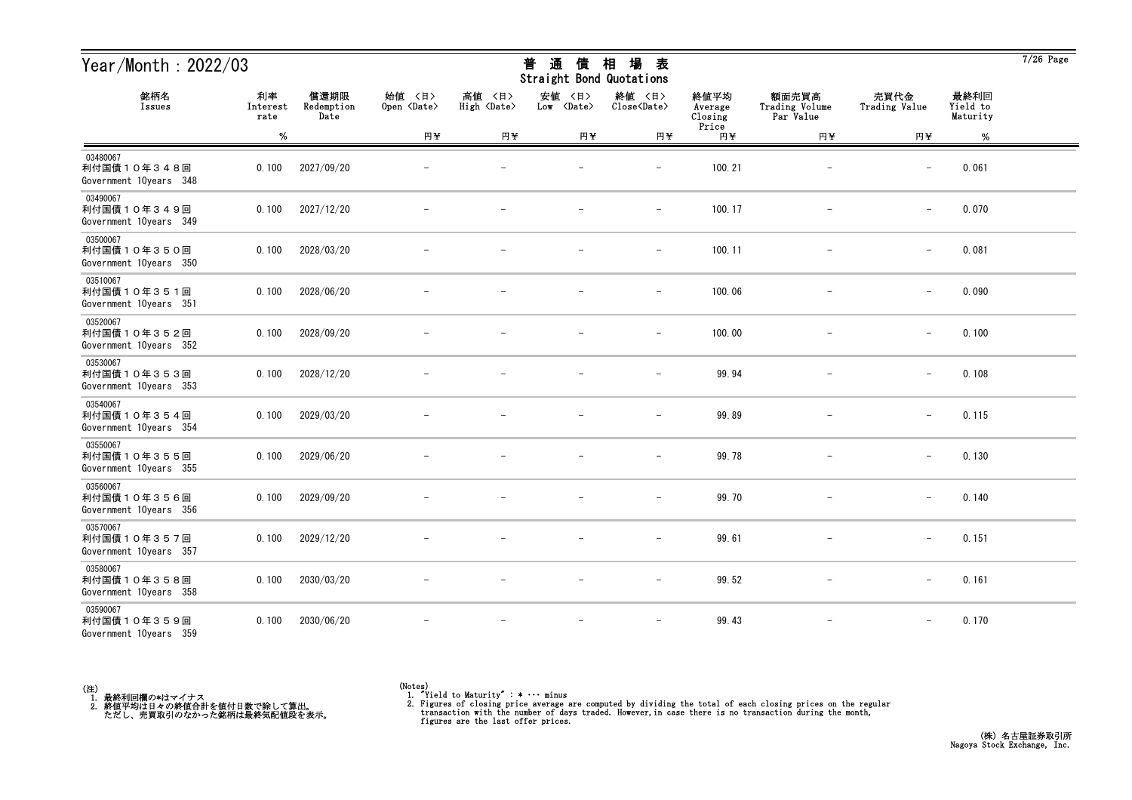| Year/Month: $2022/03$                             |                        |                            |                              |                                 | 通<br>普<br>債<br>Straight Bond Quotations | 相<br>場<br>表                   |                            |                                      |                          |                              | $7/26$ Page |
|---------------------------------------------------|------------------------|----------------------------|------------------------------|---------------------------------|-----------------------------------------|-------------------------------|----------------------------|--------------------------------------|--------------------------|------------------------------|-------------|
| 銘柄名<br>Issues                                     | 利率<br>Interest<br>rate | 償還期限<br>Redemption<br>Date | 始值 〈日〉<br>Open <date></date> | 高値<br>〈日〉<br>High <date></date> | 安値<br>〈日〉<br>Low <date></date>          | 終値 〈日〉<br>Close <date></date> | 終値平均<br>Average<br>Closing | 額面売買高<br>Trading Volume<br>Par Value | 売買代金<br>Trading Value    | 最終利回<br>Yield to<br>Maturity |             |
|                                                   | $\%$                   |                            | 円半                           | 円半                              | 円半                                      | 円半                            | Price<br>円半                | 円半                                   | 円半                       | $\%$                         |             |
| 03480067<br>利付国債10年348回<br>Government 10years 348 | 0.100                  | 2027/09/20                 |                              |                                 |                                         | $\overline{\phantom{0}}$      | 100.21                     |                                      | $\overline{\phantom{m}}$ | 0.061                        |             |
| 03490067<br>利付国債10年349回<br>Government 10years 349 | 0.100                  | 2027/12/20                 |                              |                                 |                                         | $\qquad \qquad -$             | 100.17                     |                                      | $\overline{\phantom{m}}$ | 0.070                        |             |
| 03500067<br>利付国債10年350回<br>Government 10years 350 | 0.100                  | 2028/03/20                 |                              |                                 |                                         | $\overline{\phantom{m}}$      | 100.11                     |                                      | $\overline{\phantom{m}}$ | 0.081                        |             |
| 03510067<br>利付国債10年351回<br>Government 10years 351 | 0.100                  | 2028/06/20                 |                              |                                 |                                         | $\overline{\phantom{m}}$      | 100.06                     |                                      | $\qquad \qquad -$        | 0.090                        |             |
| 03520067<br>利付国債10年352回<br>Government 10years 352 | 0.100                  | 2028/09/20                 |                              |                                 |                                         | $\qquad \qquad -$             | 100.00                     |                                      | $\overline{\phantom{m}}$ | 0.100                        |             |
| 03530067<br>利付国債10年353回<br>Government 10years 353 | 0.100                  | 2028/12/20                 |                              |                                 |                                         | $\overline{\phantom{a}}$      | 99.94                      |                                      | $\overline{\phantom{m}}$ | 0.108                        |             |
| 03540067<br>利付国債10年354回<br>Government 10years 354 | 0.100                  | 2029/03/20                 |                              |                                 |                                         | $\overline{\phantom{m}}$      | 99.89                      |                                      | $\qquad \qquad -$        | 0.115                        |             |
| 03550067<br>利付国債10年355回<br>Government 10years 355 | 0.100                  | 2029/06/20                 |                              |                                 |                                         |                               | 99.78                      |                                      | $\overline{\phantom{m}}$ | 0.130                        |             |
| 03560067<br>利付国債10年356回<br>Government 10years 356 | 0.100                  | 2029/09/20                 |                              |                                 |                                         |                               | 99.70                      |                                      | $\overline{\phantom{m}}$ | 0.140                        |             |
| 03570067<br>利付国債10年357回<br>Government 10years 357 | 0.100                  | 2029/12/20                 |                              |                                 |                                         | $\qquad \qquad -$             | 99.61                      |                                      | $\qquad \qquad -$        | 0.151                        |             |
| 03580067<br>利付国債10年358回<br>Government 10years 358 | 0.100                  | 2030/03/20                 |                              |                                 | $\overline{\phantom{m}}$                | $-$                           | 99.52                      | $-$                                  | $\overline{\phantom{m}}$ | 0.161                        |             |
| 03590067<br>利付国債10年359回<br>Government 10years 359 | 0.100                  | 2030/06/20                 |                              |                                 |                                         | $\overline{\phantom{a}}$      | 99.43                      |                                      |                          | 0.170                        |             |



<sup>(</sup>Notes) 1. "Yield to Maturity" : \* ・・・ minus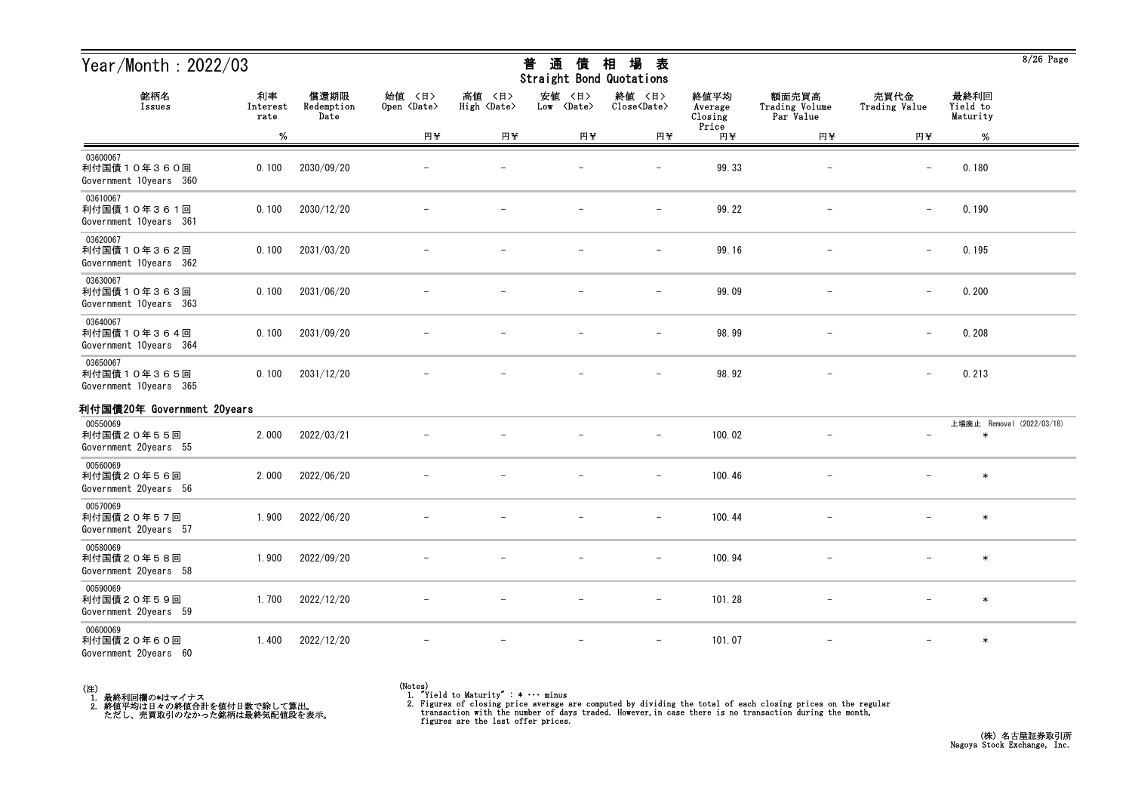| Year/Month: 2022/03                               |                        |                            |                              |                                 | 通<br>普<br>債<br>Straight Bond Quotations | 場<br>相<br>表                   |                            |                                      |                          |                              | $8/26$ Page               |
|---------------------------------------------------|------------------------|----------------------------|------------------------------|---------------------------------|-----------------------------------------|-------------------------------|----------------------------|--------------------------------------|--------------------------|------------------------------|---------------------------|
| 銘柄名<br>Issues                                     | 利率<br>Interest<br>rate | 償還期限<br>Redemption<br>Date | 始值 〈日〉<br>Open <date></date> | 高値<br>〈日〉<br>High <date></date> | 安値<br>〈日〉<br>Low <date></date>          | 終値 〈日〉<br>Close <date></date> | 終値平均<br>Average<br>Closing | 額面売買高<br>Trading Volume<br>Par Value | 売買代金<br>Trading Value    | 最終利回<br>Yield to<br>Maturity |                           |
|                                                   | %                      |                            | 円半                           | 円半                              | 円半                                      | 円半                            | Price<br>円半                | 円半                                   | 円半                       | %                            |                           |
| 03600067<br>利付国債10年360回<br>Government 10years 360 | 0.100                  | 2030/09/20                 |                              |                                 |                                         | $\overline{\phantom{m}}$      | 99.33                      |                                      |                          | 0.180                        |                           |
| 03610067<br>利付国債10年361回<br>Government 10years 361 | 0.100                  | 2030/12/20                 |                              |                                 |                                         | $\overline{\phantom{0}}$      | 99.22                      |                                      |                          | 0.190                        |                           |
| 03620067<br>利付国債10年362回<br>Government 10years 362 | 0.100                  | 2031/03/20                 |                              |                                 |                                         | $\overline{\phantom{0}}$      | 99.16                      |                                      |                          | 0.195                        |                           |
| 03630067<br>利付国債10年363回<br>Government 10years 363 | 0.100                  | 2031/06/20                 |                              |                                 |                                         | $\overline{\phantom{m}}$      | 99.09                      |                                      |                          | 0.200                        |                           |
| 03640067<br>利付国債10年364回<br>Government 10years 364 | 0.100                  | 2031/09/20                 |                              |                                 |                                         |                               | 98.99                      |                                      |                          | 0.208                        |                           |
| 03650067<br>利付国債10年365回<br>Government 10years 365 | 0.100                  | 2031/12/20                 |                              |                                 |                                         |                               | 98.92                      |                                      |                          | 0.213                        |                           |
| 利付国債20年 Government 20years                        |                        |                            |                              |                                 |                                         |                               |                            |                                      |                          |                              |                           |
| 00550069<br>利付国債20年55回<br>Government 20years 55   | 2.000                  | 2022/03/21                 |                              |                                 |                                         | $\overline{\phantom{m}}$      | 100.02                     |                                      | $\overline{\phantom{m}}$ | $\ast$                       | 上場廃止 Removal (2022/03/18) |
| 00560069<br>利付国債20年56回<br>Government 20years 56   | 2.000                  | 2022/06/20                 |                              |                                 |                                         | $\overline{\phantom{a}}$      | 100.46                     |                                      |                          | $\ast$                       |                           |
| 00570069<br>利付国債20年57回<br>Government 20years 57   | 1.900                  | 2022/06/20                 |                              |                                 |                                         | $\overline{\phantom{m}}$      | 100.44                     |                                      |                          | $\ast$                       |                           |
| 00580069<br>利付国債20年58回<br>Government 20years 58   | 1.900                  | 2022/09/20                 |                              |                                 |                                         | $\qquad \qquad -$             | 100.94                     |                                      |                          | $\ast$                       |                           |
| 00590069<br>利付国債20年59回<br>Government 20years 59   | 1.700                  | 2022/12/20                 |                              |                                 |                                         | $\qquad \qquad -$             | 101.28                     |                                      |                          | $\ast$                       |                           |
| 00600069<br>利付国債20年60回<br>Government 20years 60   | 1.400                  | 2022/12/20                 |                              |                                 |                                         | $\qquad \qquad -$             | 101.07                     | $\overline{\phantom{m}}$             |                          | $\ast$                       |                           |

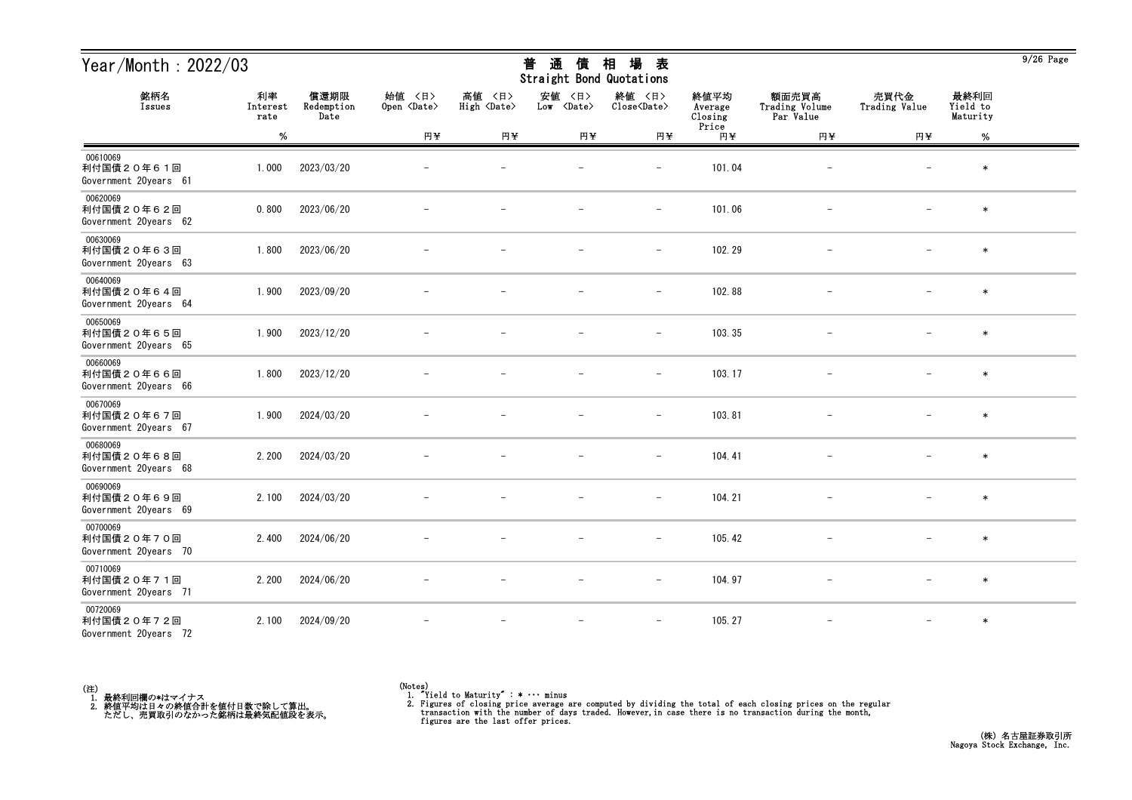| Year/Month: 2022/03                             |                        |                            |                              |                              | 通<br>普<br>債<br>Straight Bond Quotations | 場<br>相<br>表                   |                            |                                      |                          |                              | $9/26$ Page |
|-------------------------------------------------|------------------------|----------------------------|------------------------------|------------------------------|-----------------------------------------|-------------------------------|----------------------------|--------------------------------------|--------------------------|------------------------------|-------------|
| 銘柄名<br>Issues                                   | 利率<br>Interest<br>rate | 償還期限<br>Redemption<br>Date | 始值 〈日〉<br>Open <date></date> | 高値 〈日〉<br>High <date></date> | 安値<br>〈日〉<br>Low <date></date>          | 終値 〈日〉<br>Close <date></date> | 終値平均<br>Average<br>Closing | 額面売買高<br>Trading Volume<br>Par Value | 売買代金<br>Trading Value    | 最終利回<br>Yield to<br>Maturity |             |
|                                                 | $\%$                   |                            | 円半                           | 円半                           | 円半                                      | 円半                            | Price<br>円半                | 円半                                   | 円半                       | $\%$                         |             |
| 00610069<br>利付国債20年61回<br>Government 20years 61 | 1.000                  | 2023/03/20                 |                              |                              |                                         | $\overline{\phantom{m}}$      | 101.04                     |                                      |                          | $\ast$                       |             |
| 00620069<br>利付国債20年62回<br>Government 20years 62 | 0.800                  | 2023/06/20                 |                              |                              |                                         | $\overline{\phantom{a}}$      | 101.06                     |                                      |                          | $\ast$                       |             |
| 00630069<br>利付国債20年63回<br>Government 20years 63 | 1.800                  | 2023/06/20                 |                              |                              |                                         | $\overline{\phantom{m}}$      | 102.29                     |                                      |                          | $\ast$                       |             |
| 00640069<br>利付国債20年64回<br>Government 20years 64 | 1.900                  | 2023/09/20                 |                              |                              |                                         | $\overline{\phantom{m}}$      | 102.88                     |                                      |                          | $\ast$                       |             |
| 00650069<br>利付国債20年65回<br>Government 20years 65 | 1.900                  | 2023/12/20                 |                              |                              |                                         | $\overline{\phantom{a}}$      | 103.35                     |                                      |                          | $\ast$                       |             |
| 00660069<br>利付国債20年66回<br>Government 20years 66 | 1.800                  | 2023/12/20                 |                              |                              |                                         | $\overline{\phantom{a}}$      | 103.17                     |                                      |                          | $\ast$                       |             |
| 00670069<br>利付国債20年67回<br>Government 20years 67 | 1.900                  | 2024/03/20                 |                              |                              |                                         |                               | 103.81                     |                                      |                          | $\ast$                       |             |
| 00680069<br>利付国債20年68回<br>Government 20years 68 | 2.200                  | 2024/03/20                 |                              |                              |                                         | $\qquad \qquad -$             | 104.41                     | $\qquad \qquad -$                    |                          | $\ast$                       |             |
| 00690069<br>利付国債20年69回<br>Government 20years 69 | 2.100                  | 2024/03/20                 |                              |                              |                                         | $\qquad \qquad -$             | 104.21                     |                                      |                          | $\ast$                       |             |
| 00700069<br>利付国債20年70回<br>Government 20years 70 | 2.400                  | 2024/06/20                 |                              |                              | $\overline{\phantom{m}}$                | $\overline{\phantom{m}}$      | 105.42                     | $\overline{\phantom{m}}$             | $\overline{\phantom{0}}$ | $\ast$                       |             |
| 00710069<br>利付国債20年71回<br>Government 20years 71 | 2.200                  | 2024/06/20                 |                              |                              |                                         | $\overline{\phantom{a}}$      | 104.97                     | $\overline{\phantom{a}}$             |                          | $\ast$                       |             |
| 00720069<br>利付国債20年72回<br>Government 20years 72 | 2.100                  | 2024/09/20                 |                              |                              | $\overline{\phantom{m}}$                | $\overline{\phantom{m}}$      | 105.27                     | $\overline{\phantom{m}}$             | $\overline{\phantom{0}}$ | $\ast$                       |             |

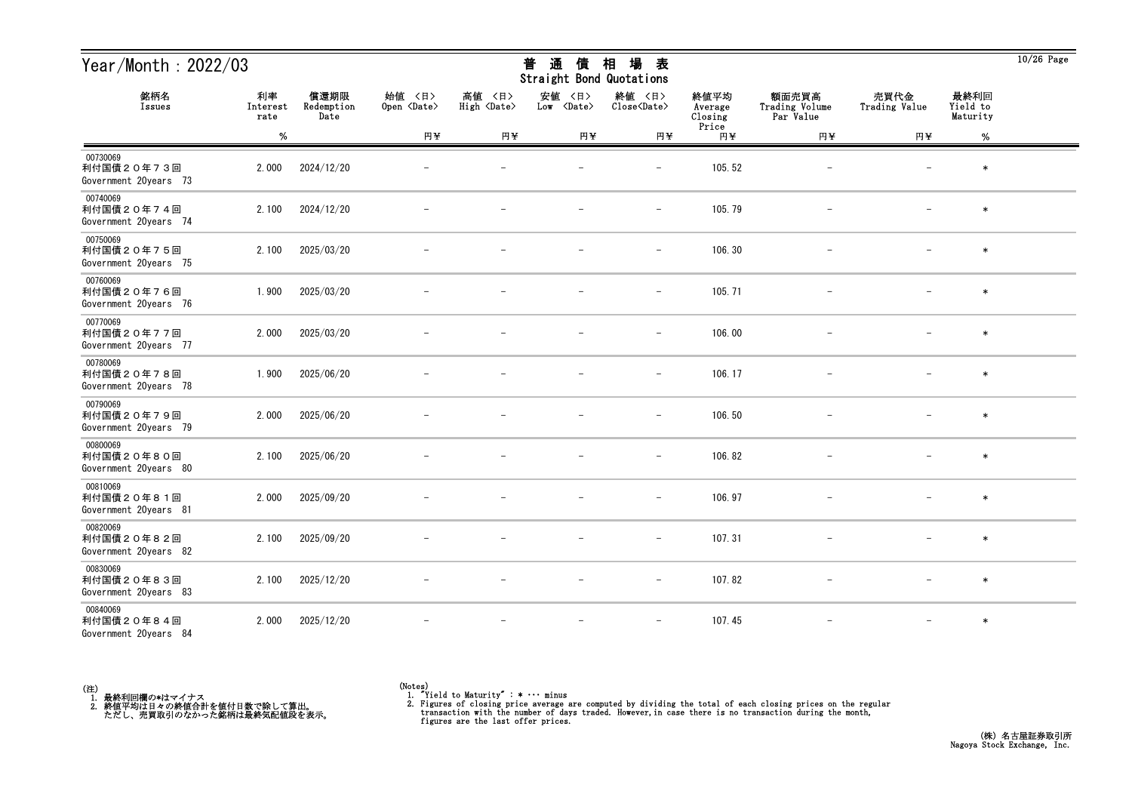| Year/Month: 2022/03                             |                        |                            |                              |                              | 普<br>通<br>債<br>Straight Bond Quotations | 場<br>相<br>表                   |                            |                                      |                          |                              | $10/26$ Page |
|-------------------------------------------------|------------------------|----------------------------|------------------------------|------------------------------|-----------------------------------------|-------------------------------|----------------------------|--------------------------------------|--------------------------|------------------------------|--------------|
| 銘柄名<br>Issues                                   | 利率<br>Interest<br>rate | 償還期限<br>Redemption<br>Date | 始値 〈日〉<br>Open <date></date> | 高値 〈日〉<br>High <date></date> | 安値<br>〈日〉<br>Low <date></date>          | 終値 〈日〉<br>Close <date></date> | 終値平均<br>Average<br>Closing | 額面売買高<br>Trading Volume<br>Par Value | 売買代金<br>Trading Value    | 最終利回<br>Yield to<br>Maturity |              |
|                                                 | $\%$                   |                            | 円半                           | 円半                           | 円半                                      | 円半                            | Price<br>円半                | 円半                                   | 円半                       | $\%$                         |              |
| 00730069<br>利付国債20年73回<br>Government 20years 73 | 2.000                  | 2024/12/20                 |                              |                              |                                         |                               | 105.52                     |                                      |                          | $\ast$                       |              |
| 00740069<br>利付国債20年74回<br>Government 20years 74 | 2.100                  | 2024/12/20                 |                              |                              |                                         | $\qquad \qquad -$             | 105.79                     | $\overline{\phantom{m}}$             |                          | $\ast$                       |              |
| 00750069<br>利付国債20年75回<br>Government 20years 75 | 2.100                  | 2025/03/20                 |                              |                              |                                         | $\overline{\phantom{m}}$      | 106.30                     |                                      |                          | $\ast$                       |              |
| 00760069<br>利付国債20年76回<br>Government 20years 76 | 1.900                  | 2025/03/20                 |                              |                              |                                         | $\qquad \qquad -$             | 105.71                     |                                      |                          | $\ast$                       |              |
| 00770069<br>利付国債20年77回<br>Government 20years 77 | 2.000                  | 2025/03/20                 |                              |                              |                                         | $\overline{\phantom{m}}$      | 106.00                     |                                      |                          | $\ast$                       |              |
| 00780069<br>利付国債20年78回<br>Government 20years 78 | 1.900                  | 2025/06/20                 |                              |                              |                                         | $\overline{\phantom{m}}$      | 106.17                     |                                      |                          | $\ast$                       |              |
| 00790069<br>利付国債20年79回<br>Government 20years 79 | 2.000                  | 2025/06/20                 |                              |                              |                                         | $\overline{\phantom{a}}$      | 106.50                     |                                      |                          | $\ast$                       |              |
| 00800069<br>利付国債20年80回<br>Government 20years 80 | 2.100                  | 2025/06/20                 |                              |                              |                                         | $\overline{\phantom{m}}$      | 106.82                     |                                      |                          | $\ast$                       |              |
| 00810069<br>利付国債20年81回<br>Government 20years 81 | 2.000                  | 2025/09/20                 |                              |                              |                                         |                               | 106.97                     |                                      |                          | $\ast$                       |              |
| 00820069<br>利付国債20年82回<br>Government 20years 82 | 2.100                  | 2025/09/20                 |                              |                              |                                         | $\overline{\phantom{m}}$      | 107.31                     |                                      | $\overline{\phantom{m}}$ | $\ast$                       |              |
| 00830069<br>利付国債20年83回<br>Government 20years 83 | 2.100                  | 2025/12/20                 | $\overline{\phantom{m}}$     |                              | $\overline{\phantom{m}}$                | $-$                           | 107.82                     | $\overline{\phantom{m}}$             | $-$                      | $\ast$                       |              |
| 00840069<br>利付国債20年84回<br>Government 20years 84 | 2.000                  | 2025/12/20                 |                              |                              | $\overline{\phantom{m}}$                | $\overline{\phantom{m}}$      | 107.45                     | $-$                                  | $\overline{\phantom{m}}$ | $\ast$                       |              |



<sup>(</sup>Notes) 1. "Yield to Maturity" : \* ・・・ minus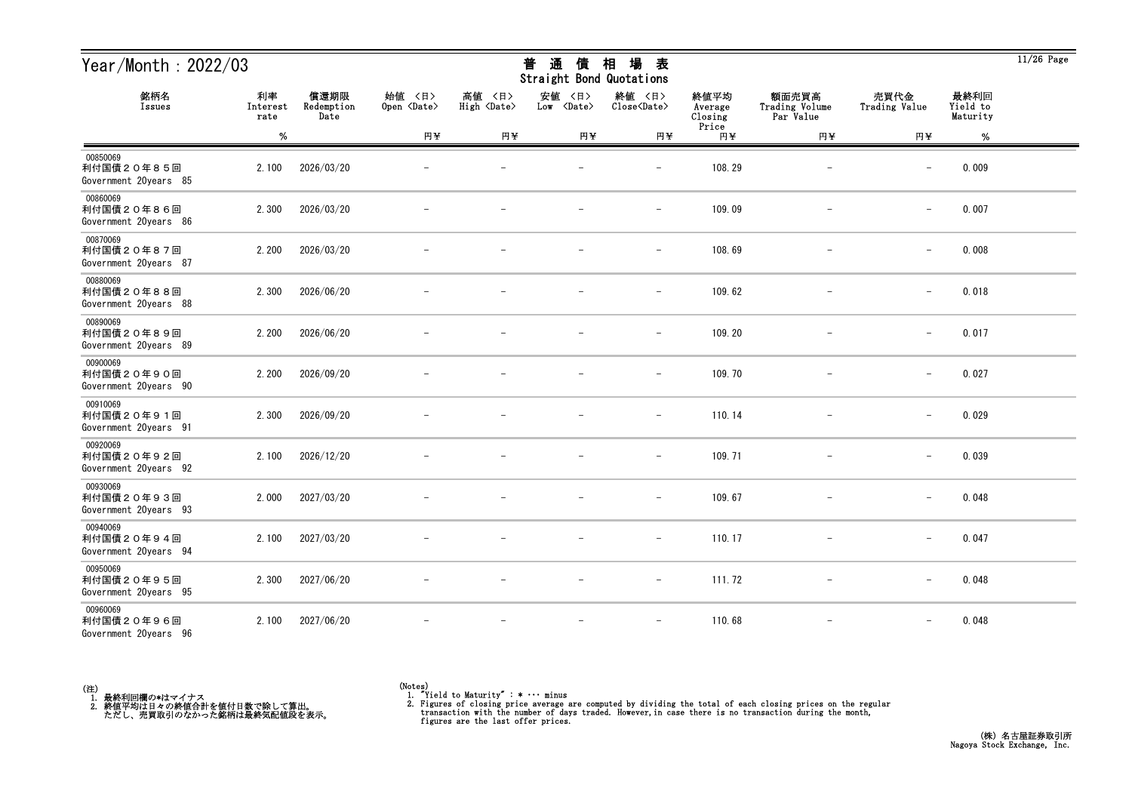| Year/Month: 2022/03                             |                        |                            |                              |                              | 通<br>普<br>債<br>Straight Bond Quotations | 場<br>相<br>表                   |                            |                                      |                          |                              | $11/26$ Page |
|-------------------------------------------------|------------------------|----------------------------|------------------------------|------------------------------|-----------------------------------------|-------------------------------|----------------------------|--------------------------------------|--------------------------|------------------------------|--------------|
| 銘柄名<br>Issues                                   | 利率<br>Interest<br>rate | 償還期限<br>Redemption<br>Date | 始值 〈日〉<br>Open <date></date> | 高値 〈日〉<br>High <date></date> | 安値<br>〈日〉<br>Low <date></date>          | 終値 〈日〉<br>Close <date></date> | 終値平均<br>Average<br>Closing | 額面売買高<br>Trading Volume<br>Par Value | 売買代金<br>Trading Value    | 最終利回<br>Yield to<br>Maturity |              |
|                                                 | $\%$                   |                            | 円半                           | 円半                           | 円半                                      | 円半                            | Price<br>円半                | 円半                                   | 円半                       | %                            |              |
| 00850069<br>利付国債20年85回<br>Government 20years 85 | 2.100                  | 2026/03/20                 |                              |                              |                                         |                               | 108.29                     |                                      |                          | 0.009                        |              |
| 00860069<br>利付国債20年86回<br>Government 20years 86 | 2.300                  | 2026/03/20                 |                              |                              |                                         | $\overline{\phantom{m}}$      | 109.09                     | $\qquad \qquad -$                    | $\overline{\phantom{0}}$ | 0.007                        |              |
| 00870069<br>利付国債20年87回<br>Government 20years 87 | 2.200                  | 2026/03/20                 |                              |                              |                                         | $\overline{\phantom{m}}$      | 108.69                     |                                      | $\overline{\phantom{m}}$ | 0.008                        |              |
| 00880069<br>利付国債20年88回<br>Government 20years 88 | 2.300                  | 2026/06/20                 |                              |                              |                                         | $\overline{\phantom{a}}$      | 109.62                     |                                      | $\qquad \qquad -$        | 0.018                        |              |
| 00890069<br>利付国債20年89回<br>Government 20years 89 | 2.200                  | 2026/06/20                 |                              |                              |                                         | $\overline{\phantom{m}}$      | 109.20                     |                                      | $\overline{\phantom{m}}$ | 0.017                        |              |
| 00900069<br>利付国債20年90回<br>Government 20years 90 | 2.200                  | 2026/09/20                 |                              |                              |                                         | $\overline{\phantom{m}}$      | 109.70                     | $\qquad \qquad -$                    | $\overline{\phantom{m}}$ | 0.027                        |              |
| 00910069<br>利付国債20年91回<br>Government 20years 91 | 2.300                  | 2026/09/20                 |                              |                              |                                         | $\overline{\phantom{a}}$      | 110.14                     | $\overline{\phantom{m}}$             | $\qquad \qquad -$        | 0.029                        |              |
| 00920069<br>利付国債20年92回<br>Government 20years 92 | 2.100                  | 2026/12/20                 |                              |                              |                                         | $\overline{\phantom{a}}$      | 109.71                     |                                      | $\qquad \qquad -$        | 0.039                        |              |
| 00930069<br>利付国債20年93回<br>Government 20years 93 | 2.000                  | 2027/03/20                 |                              |                              |                                         |                               | 109.67                     |                                      | $\overline{\phantom{m}}$ | 0.048                        |              |
| 00940069<br>利付国債20年94回<br>Government 20years 94 | 2.100                  | 2027/03/20                 |                              |                              | $\overline{\phantom{m}}$                | $\overline{\phantom{a}}$      | 110.17                     | $\overline{\phantom{m}}$             | $\overline{\phantom{0}}$ | 0.047                        |              |
| 00950069<br>利付国債20年95回<br>Government 20years 95 | 2.300                  | 2027/06/20                 | $\overline{\phantom{m}}$     | $\overline{\phantom{m}}$     | $\overline{\phantom{m}}$                | $ \,$                         | 111.72                     | $-$                                  | $\qquad \qquad -$        | 0.048                        |              |
| 00960069<br>利付国債20年96回<br>Government 20years 96 | 2.100                  | 2027/06/20                 |                              |                              | $\overline{\phantom{m}}$                | $\overline{\phantom{m}}$      | 110.68                     | $\overline{\phantom{m}}$             | $\qquad \qquad -$        | 0.048                        |              |



<sup>(</sup>Notes) 1. "Yield to Maturity" : \* ・・・ minus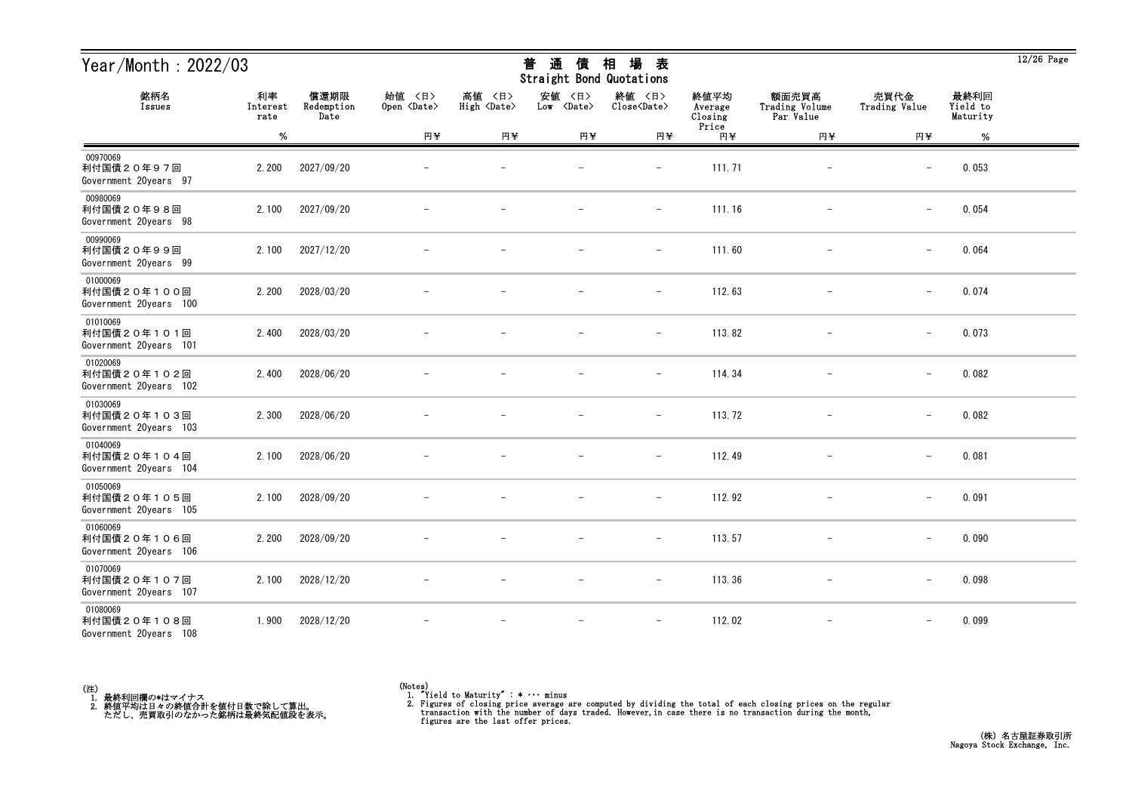| Year/Month: 2022/03                               |                        |                            |                              |                              | 通<br>普<br>債<br>Straight Bond Quotations | 場<br>相<br>表                   |                            |                                      |                          |                              | $12/26$ Page |
|---------------------------------------------------|------------------------|----------------------------|------------------------------|------------------------------|-----------------------------------------|-------------------------------|----------------------------|--------------------------------------|--------------------------|------------------------------|--------------|
| 銘柄名<br>Issues                                     | 利率<br>Interest<br>rate | 償還期限<br>Redemption<br>Date | 始值 〈日〉<br>Open <date></date> | 高値 〈日〉<br>High <date></date> | 安値<br>〈日〉<br>Low <date></date>          | 終値 〈日〉<br>Close <date></date> | 終値平均<br>Average<br>Closing | 額面売買高<br>Trading Volume<br>Par Value | 売買代金<br>Trading Value    | 最終利回<br>Yield to<br>Maturity |              |
|                                                   | $\%$                   |                            | 円半                           | 円半                           | 円半                                      | 円半                            | Price<br>円半                | 円半                                   | 円半                       | %                            |              |
| 00970069<br>利付国債20年97回<br>Government 20years 97   | 2.200                  | 2027/09/20                 |                              |                              |                                         |                               | 111.71                     |                                      |                          | 0.053                        |              |
| 00980069<br>利付国債20年98回<br>Government 20years 98   | 2.100                  | 2027/09/20                 |                              |                              |                                         | $\qquad \qquad -$             | 111.16                     | $\overline{\phantom{m}}$             | $\overline{\phantom{0}}$ | 0.054                        |              |
| 00990069<br>利付国債20年99回<br>Government 20years 99   | 2.100                  | 2027/12/20                 |                              |                              |                                         | $\overline{\phantom{m}}$      | 111.60                     |                                      | $\overline{\phantom{m}}$ | 0.064                        |              |
| 01000069<br>利付国債20年100回<br>Government 20years 100 | 2.200                  | 2028/03/20                 |                              |                              |                                         | $\qquad \qquad -$             | 112.63                     |                                      | $\qquad \qquad -$        | 0.074                        |              |
| 01010069<br>利付国債20年101回<br>Government 20years 101 | 2.400                  | 2028/03/20                 |                              |                              |                                         | $\overline{\phantom{m}}$      | 113.82                     |                                      | $\overline{\phantom{m}}$ | 0.073                        |              |
| 01020069<br>利付国債20年102回<br>Government 20years 102 | 2.400                  | 2028/06/20                 |                              |                              |                                         | $\overline{\phantom{m}}$      | 114.34                     | $\qquad \qquad -$                    | $\overline{\phantom{m}}$ | 0.082                        |              |
| 01030069<br>利付国債20年103回<br>Government 20years 103 | 2.300                  | 2028/06/20                 |                              |                              |                                         | $\overline{\phantom{m}}$      | 113.72                     | $\overline{\phantom{m}}$             | $\qquad \qquad -$        | 0.082                        |              |
| 01040069<br>利付国債20年104回<br>Government 20years 104 | 2.100                  | 2028/06/20                 |                              |                              |                                         | $\overline{\phantom{a}}$      | 112.49                     |                                      | $\qquad \qquad -$        | 0.081                        |              |
| 01050069<br>利付国債20年105回<br>Government 20years 105 | 2.100                  | 2028/09/20                 |                              |                              |                                         | $\overline{\phantom{0}}$      | 112.92                     |                                      | $\overline{\phantom{m}}$ | 0.091                        |              |
| 01060069<br>利付国債20年106回<br>Government 20years 106 | 2.200                  | 2028/09/20                 |                              |                              | $\overline{\phantom{m}}$                | $\overline{\phantom{a}}$      | 113.57                     |                                      | $\overline{\phantom{0}}$ | 0.090                        |              |
| 01070069<br>利付国債20年107回<br>Government 20years 107 | 2.100                  | 2028/12/20                 | $\overline{\phantom{m}}$     |                              | $\overline{\phantom{m}}$                | $-$                           | 113.36                     | $-$                                  | $\qquad \qquad -$        | 0.098                        |              |
| 01080069<br>利付国債20年108回<br>Government 20years 108 | 1.900                  | 2028/12/20                 |                              |                              | $\overline{\phantom{a}}$                | $\overline{\phantom{m}}$      | 112.02                     | $\overline{\phantom{m}}$             |                          | 0.099                        |              |



 $12/26$  Page

## 普 通 債 相 場 表

<sup>(</sup>Notes) 1. "Yield to Maturity" : \* ・・・ minus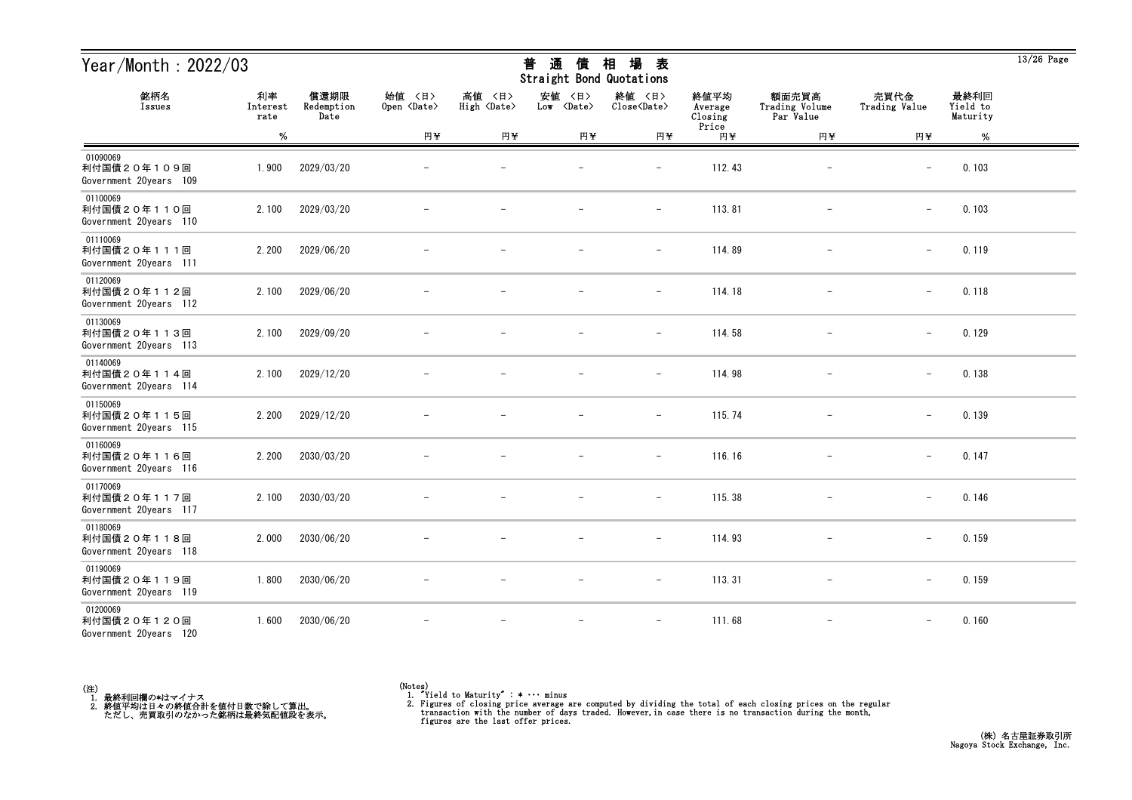| Year/Month: 2022/03                               |                        |                            |                              |                              | 通<br>普<br>債<br>Straight Bond Quotations | 場<br>相<br>表                   |                            |                                      |                          |                              | $13/26$ Page |
|---------------------------------------------------|------------------------|----------------------------|------------------------------|------------------------------|-----------------------------------------|-------------------------------|----------------------------|--------------------------------------|--------------------------|------------------------------|--------------|
| 銘柄名<br>Issues                                     | 利率<br>Interest<br>rate | 償還期限<br>Redemption<br>Date | 始值 〈日〉<br>Open <date></date> | 高値 〈日〉<br>High <date></date> | 安値<br>〈日〉<br>Low <date></date>          | 終値 〈日〉<br>Close <date></date> | 終値平均<br>Average<br>Closing | 額面売買高<br>Trading Volume<br>Par Value | 売買代金<br>Trading Value    | 最終利回<br>Yield to<br>Maturity |              |
|                                                   | $\%$                   |                            | 円半                           | 円半                           | 円半                                      | 円半                            | Price<br>円半                | 円半                                   | 円半                       | %                            |              |
| 01090069<br>利付国債20年109回<br>Government 20years 109 | 1.900                  | 2029/03/20                 |                              |                              |                                         |                               | 112.43                     |                                      |                          | 0.103                        |              |
| 01100069<br>利付国債20年110回<br>Government 20years 110 | 2.100                  | 2029/03/20                 |                              |                              |                                         | $\qquad \qquad -$             | 113.81                     | $\overline{\phantom{m}}$             | $\overline{\phantom{0}}$ | 0.103                        |              |
| 01110069<br>利付国債20年111回<br>Government 20years 111 | 2.200                  | 2029/06/20                 |                              |                              |                                         | $\overline{\phantom{m}}$      | 114.89                     |                                      | $\overline{\phantom{m}}$ | 0.119                        |              |
| 01120069<br>利付国債20年112回<br>Government 20years 112 | 2.100                  | 2029/06/20                 |                              |                              |                                         | $\overline{\phantom{m}}$      | 114.18                     |                                      | $\qquad \qquad -$        | 0.118                        |              |
| 01130069<br>利付国債20年113回<br>Government 20years 113 | 2.100                  | 2029/09/20                 |                              |                              |                                         | $\overline{\phantom{m}}$      | 114.58                     |                                      | $\overline{\phantom{m}}$ | 0.129                        |              |
| 01140069<br>利付国債20年114回<br>Government 20years 114 | 2.100                  | 2029/12/20                 |                              |                              |                                         | $\overline{\phantom{m}}$      | 114.98                     | $\qquad \qquad -$                    | $\overline{\phantom{0}}$ | 0.138                        |              |
| 01150069<br>利付国債20年115回<br>Government 20years 115 | 2.200                  | 2029/12/20                 |                              |                              |                                         | $\overline{\phantom{m}}$      | 115.74                     | $\overline{\phantom{m}}$             | $\qquad \qquad -$        | 0.139                        |              |
| 01160069<br>利付国債20年116回<br>Government 20years 116 | 2.200                  | 2030/03/20                 |                              |                              |                                         | $\overline{\phantom{a}}$      | 116.16                     |                                      | $\qquad \qquad -$        | 0.147                        |              |
| 01170069<br>利付国債20年117回<br>Government 20years 117 | 2.100                  | 2030/03/20                 |                              |                              |                                         | $\overline{\phantom{0}}$      | 115.38                     |                                      | $\overline{\phantom{m}}$ | 0.146                        |              |
| 01180069<br>利付国債20年118回<br>Government 20years 118 | 2.000                  | 2030/06/20                 |                              |                              |                                         | $\overline{\phantom{a}}$      | 114.93                     |                                      | $\overline{\phantom{0}}$ | 0.159                        |              |
| 01190069<br>利付国債20年119回<br>Government 20years 119 | 1.800                  | 2030/06/20                 | $\overline{\phantom{m}}$     | $\overline{\phantom{m}}$     | $\overline{\phantom{m}}$                | $ \,$                         | 113.31                     | $\overline{\phantom{m}}$             | $-$                      | 0.159                        |              |
| 01200069<br>利付国債20年120回<br>Government 20years 120 | 1.600                  | 2030/06/20                 |                              | $\overline{\phantom{m}}$     | $\overline{\phantom{m}}$                | $-$                           | 111.68                     | $\overline{\phantom{m}}$             | $\qquad \qquad -$        | 0.160                        |              |



<sup>(</sup>Notes) 1. "Yield to Maturity" : \* ・・・ minus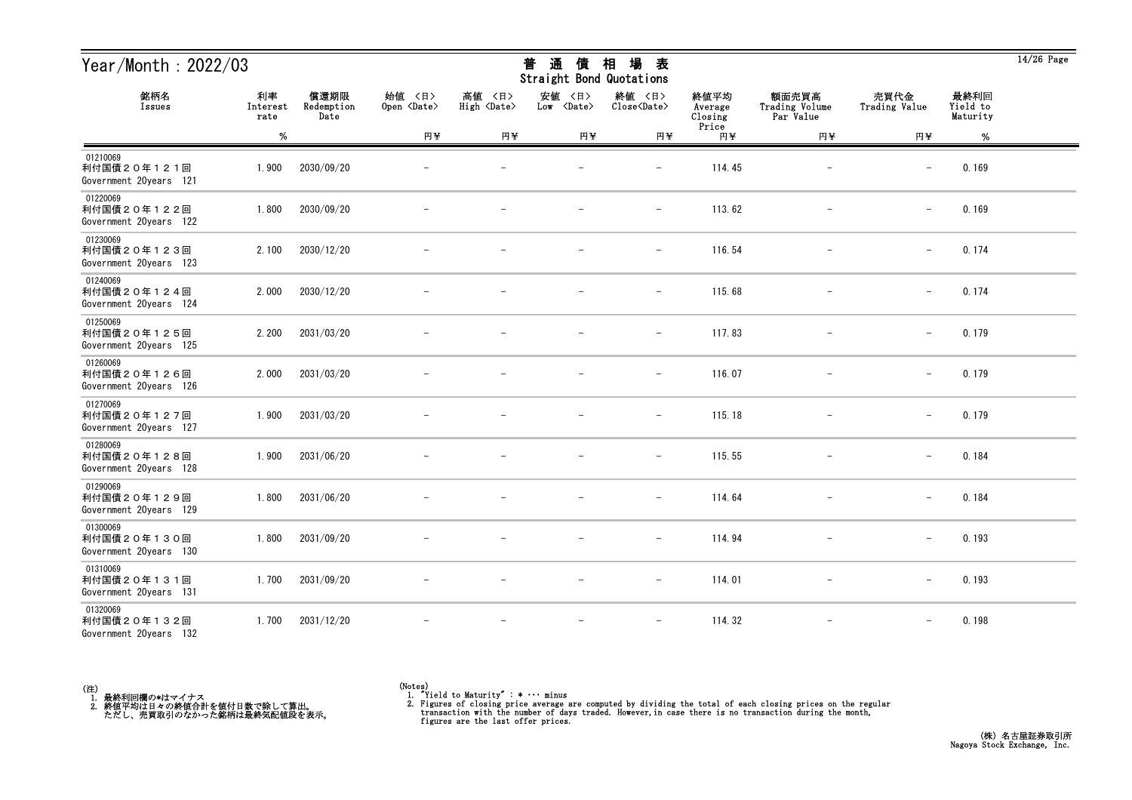| Year/Month: $2022/03$                             |                        |                            |                              |                              | 通<br>普<br>債<br>Straight Bond Quotations | 場<br>相<br>表                   |                            |                                      |                          |                              | $14/26$ Page |
|---------------------------------------------------|------------------------|----------------------------|------------------------------|------------------------------|-----------------------------------------|-------------------------------|----------------------------|--------------------------------------|--------------------------|------------------------------|--------------|
| 銘柄名<br>Issues                                     | 利率<br>Interest<br>rate | 償還期限<br>Redemption<br>Date | 始值 〈日〉<br>Open <date></date> | 高値 〈日〉<br>High <date></date> | 安値<br>〈日〉<br>Low <date></date>          | 終値 〈日〉<br>Close <date></date> | 終値平均<br>Average<br>Closing | 額面売買高<br>Trading Volume<br>Par Value | 売買代金<br>Trading Value    | 最終利回<br>Yield to<br>Maturity |              |
|                                                   | $\%$                   |                            | 円半                           | 円半                           | 円半                                      | 円半                            | Price<br>円半                | 円半                                   | 円半                       | $\%$                         |              |
| 01210069<br>利付国債20年121回<br>Government 20years 121 | 1.900                  | 2030/09/20                 |                              |                              |                                         | $\qquad \qquad -$             | 114.45                     |                                      | $\overline{\phantom{m}}$ | 0.169                        |              |
| 01220069<br>利付国債20年122回<br>Government 20years 122 | 1.800                  | 2030/09/20                 |                              |                              |                                         | $\overline{\phantom{m}}$      | 113.62                     |                                      | $\overline{\phantom{m}}$ | 0.169                        |              |
| 01230069<br>利付国債20年123回<br>Government 20years 123 | 2.100                  | 2030/12/20                 |                              |                              |                                         | $\overline{\phantom{a}}$      | 116.54                     |                                      | $\overline{\phantom{m}}$ | 0.174                        |              |
| 01240069<br>利付国債20年124回<br>Government 20years 124 | 2.000                  | 2030/12/20                 |                              |                              |                                         | $\overline{\phantom{a}}$      | 115.68                     |                                      | $\overline{\phantom{0}}$ | 0.174                        |              |
| 01250069<br>利付国債20年125回<br>Government 20years 125 | 2.200                  | 2031/03/20                 |                              |                              |                                         | $\qquad \qquad -$             | 117.83                     |                                      | $\qquad \qquad -$        | 0.179                        |              |
| 01260069<br>利付国債20年126回<br>Government 20years 126 | 2.000                  | 2031/03/20                 |                              |                              |                                         | $\overline{\phantom{m}}$      | 116.07                     | $\qquad \qquad -$                    | $\overline{\phantom{m}}$ | 0.179                        |              |
| 01270069<br>利付国債20年127回<br>Government 20years 127 | 1.900                  | 2031/03/20                 |                              |                              |                                         | $\overline{\phantom{a}}$      | 115.18                     |                                      | $\qquad \qquad -$        | 0.179                        |              |
| 01280069<br>利付国債20年128回<br>Government 20years 128 | 1.900                  | 2031/06/20                 |                              |                              |                                         |                               | 115.55                     |                                      | $\overline{\phantom{m}}$ | 0.184                        |              |
| 01290069<br>利付国債20年129回<br>Government 20years 129 | 1.800                  | 2031/06/20                 |                              |                              |                                         | $\overline{\phantom{0}}$      | 114.64                     |                                      | $\overline{\phantom{m}}$ | 0.184                        |              |
| 01300069<br>利付国債20年130回<br>Government 20years 130 | 1.800                  | 2031/09/20                 |                              |                              |                                         | $\overline{\phantom{m}}$      | 114.94                     |                                      | $\overline{\phantom{m}}$ | 0.193                        |              |
| 01310069<br>利付国債20年131回<br>Government 20years 131 | 1.700                  | 2031/09/20                 |                              |                              | $\overline{\phantom{m}}$                | $-$                           | 114.01                     | $\overline{\phantom{0}}$             | $\overline{\phantom{m}}$ | 0.193                        |              |
| 01320069<br>利付国債20年132回<br>Government 20years 132 | 1.700                  | 2031/12/20                 |                              |                              |                                         |                               | 114.32                     |                                      |                          | 0.198                        |              |



 $\overline{14/26}$  Page

<sup>(</sup>Notes) 1. "Yield to Maturity" : \* ・・・ minus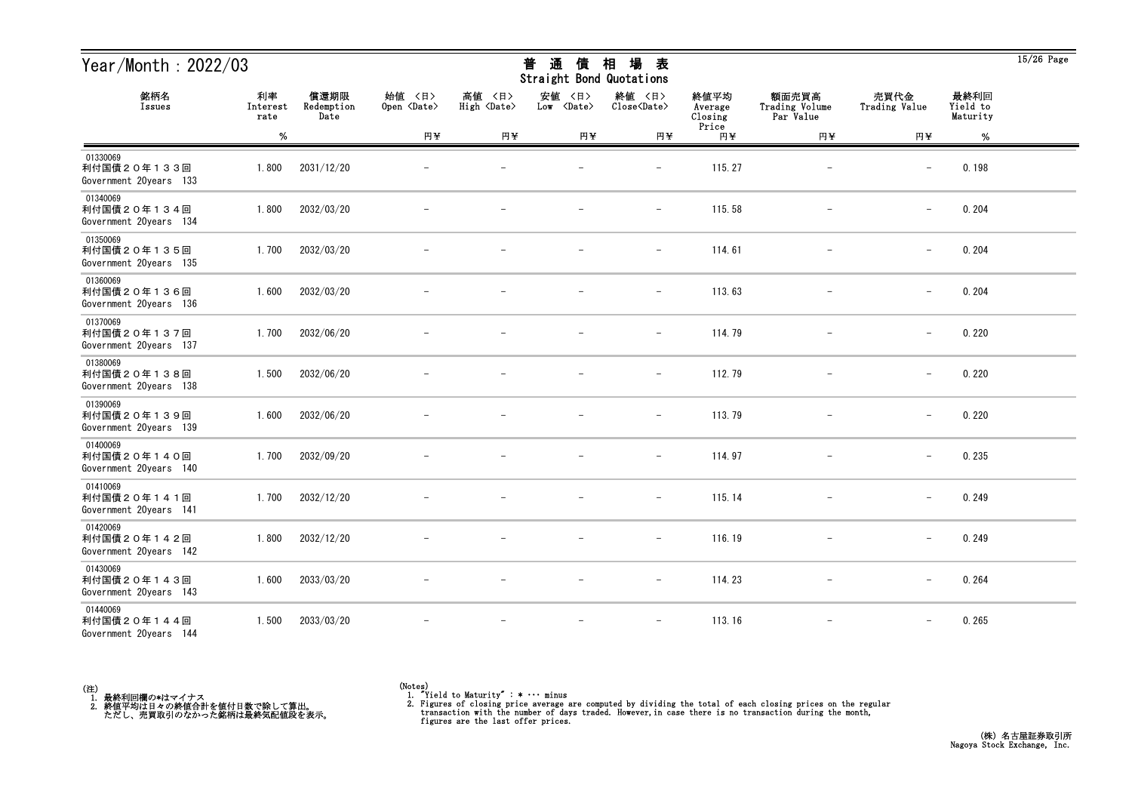| Year/Month: $2022/03$                             |                        |                            |                              |                              | 通<br>普<br>債<br>Straight Bond Quotations | 場<br>相<br>表                   |                            |                                      |                          |                              | $15/26$ Page |
|---------------------------------------------------|------------------------|----------------------------|------------------------------|------------------------------|-----------------------------------------|-------------------------------|----------------------------|--------------------------------------|--------------------------|------------------------------|--------------|
| 銘柄名<br>Issues                                     | 利率<br>Interest<br>rate | 償還期限<br>Redemption<br>Date | 始值 〈日〉<br>Open <date></date> | 高値 〈日〉<br>High <date></date> | 安値<br>〈日〉<br>Low <date></date>          | 終値 〈日〉<br>Close <date></date> | 終値平均<br>Average<br>Closing | 額面売買高<br>Trading Volume<br>Par Value | 売買代金<br>Trading Value    | 最終利回<br>Yield to<br>Maturity |              |
|                                                   | $\%$                   |                            | 円半                           | 円半                           | 円半                                      | 円半                            | Price<br>円半                | 円半                                   | 円半                       | $\%$                         |              |
| 01330069<br>利付国債20年133回<br>Government 20years 133 | 1.800                  | 2031/12/20                 |                              |                              |                                         | $\qquad \qquad -$             | 115.27                     |                                      | $\overline{\phantom{m}}$ | 0.198                        |              |
| 01340069<br>利付国債20年134回<br>Government 20years 134 | 1.800                  | 2032/03/20                 |                              |                              |                                         | $\overline{\phantom{m}}$      | 115.58                     |                                      | $\overline{\phantom{m}}$ | 0.204                        |              |
| 01350069<br>利付国債20年135回<br>Government 20years 135 | 1.700                  | 2032/03/20                 |                              |                              |                                         | $\qquad \qquad -$             | 114.61                     |                                      | $\overline{\phantom{m}}$ | 0.204                        |              |
| 01360069<br>利付国債20年136回<br>Government 20years 136 | 1.600                  | 2032/03/20                 |                              |                              |                                         | $\overline{\phantom{m}}$      | 113.63                     |                                      | $\qquad \qquad -$        | 0.204                        |              |
| 01370069<br>利付国債20年137回<br>Government 20years 137 | 1.700                  | 2032/06/20                 |                              |                              |                                         | $\qquad \qquad -$             | 114.79                     |                                      | $\overline{\phantom{m}}$ | 0.220                        |              |
| 01380069<br>利付国債20年138回<br>Government 20years 138 | 1.500                  | 2032/06/20                 |                              |                              |                                         | $\overline{\phantom{m}}$      | 112.79                     | $\qquad \qquad -$                    | $\overline{\phantom{m}}$ | 0.220                        |              |
| 01390069<br>利付国債20年139回<br>Government 20years 139 | 1.600                  | 2032/06/20                 |                              |                              |                                         | $\overline{\phantom{a}}$      | 113.79                     |                                      | $\overline{\phantom{m}}$ | 0.220                        |              |
| 01400069<br>利付国債20年140回<br>Government 20years 140 | 1.700                  | 2032/09/20                 |                              |                              |                                         |                               | 114.97                     |                                      | $\overline{\phantom{m}}$ | 0.235                        |              |
| 01410069<br>利付国債20年141回<br>Government 20years 141 | 1.700                  | 2032/12/20                 |                              |                              |                                         | $\overline{\phantom{0}}$      | 115.14                     |                                      | $\overline{\phantom{m}}$ | 0.249                        |              |
| 01420069<br>利付国債20年142回<br>Government 20years 142 | 1.800                  | 2032/12/20                 |                              |                              |                                         | $\overline{\phantom{m}}$      | 116.19                     |                                      | $\overline{\phantom{m}}$ | 0.249                        |              |
| 01430069<br>利付国債20年143回<br>Government 20years 143 | 1.600                  | 2033/03/20                 |                              |                              | $\overline{\phantom{m}}$                | $ \,$                         | 114.23                     | $\overline{\phantom{0}}$             | $\overline{\phantom{m}}$ | 0.264                        |              |
| 01440069<br>利付国債20年144回<br>Government 20years 144 | 1.500                  | 2033/03/20                 |                              |                              |                                         | $\qquad \qquad -$             | 113.16                     |                                      |                          | 0.265                        |              |



<sup>(</sup>Notes) 1. "Yield to Maturity" : \* ・・・ minus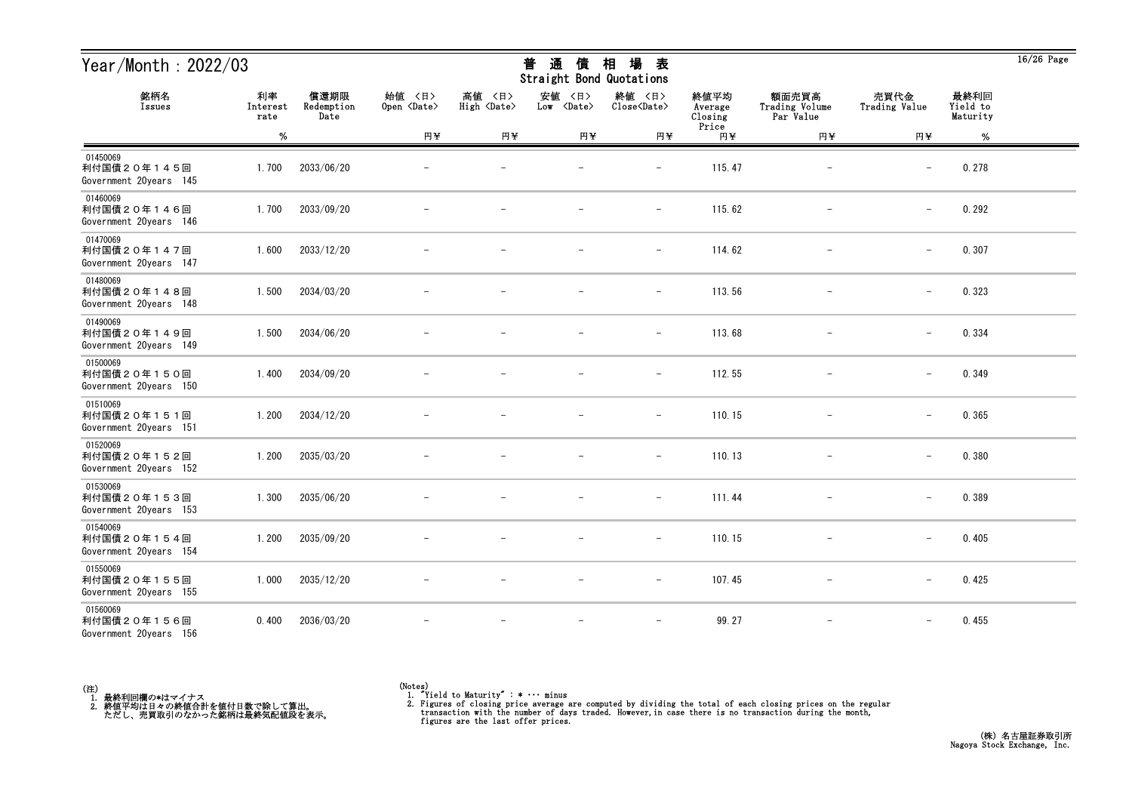| Year/Month: $2022/03$                             |                        |                            |                              |                                 | 通<br>普<br>債<br>Straight Bond Quotations | 場<br>相<br>表                   |                            |                                      |                          |                              | $16/26$ Page |
|---------------------------------------------------|------------------------|----------------------------|------------------------------|---------------------------------|-----------------------------------------|-------------------------------|----------------------------|--------------------------------------|--------------------------|------------------------------|--------------|
| 銘柄名<br>Issues                                     | 利率<br>Interest<br>rate | 償還期限<br>Redemption<br>Date | 始值 〈日〉<br>Open <date></date> | 高値<br>〈日〉<br>High <date></date> | 安値<br>〈日〉<br>Low <date></date>          | 終値 〈日〉<br>Close <date></date> | 終値平均<br>Average<br>Closing | 額面売買高<br>Trading Volume<br>Par Value | 売買代金<br>Trading Value    | 最終利回<br>Yield to<br>Maturity |              |
|                                                   | $\%$                   |                            | 円半                           | 円半                              | 円半                                      | 円半                            | Price<br>円半                | 円半                                   | 円半                       | $\%$                         |              |
| 01450069<br>利付国債20年145回<br>Government 20years 145 | 1.700                  | 2033/06/20                 |                              |                                 |                                         | $\qquad \qquad -$             | 115.47                     |                                      | $\overline{\phantom{m}}$ | 0.278                        |              |
| 01460069<br>利付国債20年146回<br>Government 20years 146 | 1.700                  | 2033/09/20                 |                              |                                 |                                         | $\qquad \qquad -$             | 115.62                     |                                      | $\overline{\phantom{m}}$ | 0.292                        |              |
| 01470069<br>利付国債20年147回<br>Government 20years 147 | 1.600                  | 2033/12/20                 |                              |                                 |                                         | $\overline{\phantom{a}}$      | 114.62                     |                                      | $\overline{\phantom{m}}$ | 0.307                        |              |
| 01480069<br>利付国債20年148回<br>Government 20years 148 | 1.500                  | 2034/03/20                 |                              |                                 |                                         | $\overline{\phantom{m}}$      | 113.56                     |                                      | $\overline{\phantom{0}}$ | 0.323                        |              |
| 01490069<br>利付国債20年149回<br>Government 20years 149 | 1.500                  | 2034/06/20                 |                              |                                 |                                         | $\qquad \qquad -$             | 113.68                     |                                      | $\overline{\phantom{m}}$ | 0.334                        |              |
| 01500069<br>利付国債20年150回<br>Government 20years 150 | 1.400                  | 2034/09/20                 |                              |                                 |                                         | $\overline{\phantom{m}}$      | 112.55                     | $\qquad \qquad -$                    | $\overline{\phantom{m}}$ | 0.349                        |              |
| 01510069<br>利付国債20年151回<br>Government 20years 151 | 1.200                  | 2034/12/20                 |                              |                                 |                                         | $\overline{\phantom{a}}$      | 110.15                     |                                      | $\overline{\phantom{m}}$ | 0.365                        |              |
| 01520069<br>利付国債20年152回<br>Government 20years 152 | 1.200                  | 2035/03/20                 |                              |                                 |                                         |                               | 110.13                     |                                      | $\overline{\phantom{m}}$ | 0.380                        |              |
| 01530069<br>利付国債20年153回<br>Government 20years 153 | 1.300                  | 2035/06/20                 |                              |                                 |                                         | $\overline{\phantom{0}}$      | 111.44                     |                                      | $\overline{\phantom{m}}$ | 0.389                        |              |
| 01540069<br>利付国債20年154回<br>Government 20years 154 | 1.200                  | 2035/09/20                 |                              |                                 |                                         | $\overline{\phantom{m}}$      | 110.15                     |                                      | $\overline{\phantom{m}}$ | 0.405                        |              |
| 01550069<br>利付国債20年155回<br>Government 20years 155 | 1.000                  | 2035/12/20                 |                              |                                 | $\overline{\phantom{m}}$                | $-$                           | 107.45                     | $-$                                  | $\qquad \qquad -$        | 0.425                        |              |
| 01560069<br>利付国債20年156回<br>Government 20years 156 | 0.400                  | 2036/03/20                 |                              |                                 |                                         | $\overline{\phantom{a}}$      | 99.27                      | $\qquad \qquad -$                    |                          | 0.455                        |              |



<sup>(</sup>Notes) 1. "Yield to Maturity" : \* ・・・ minus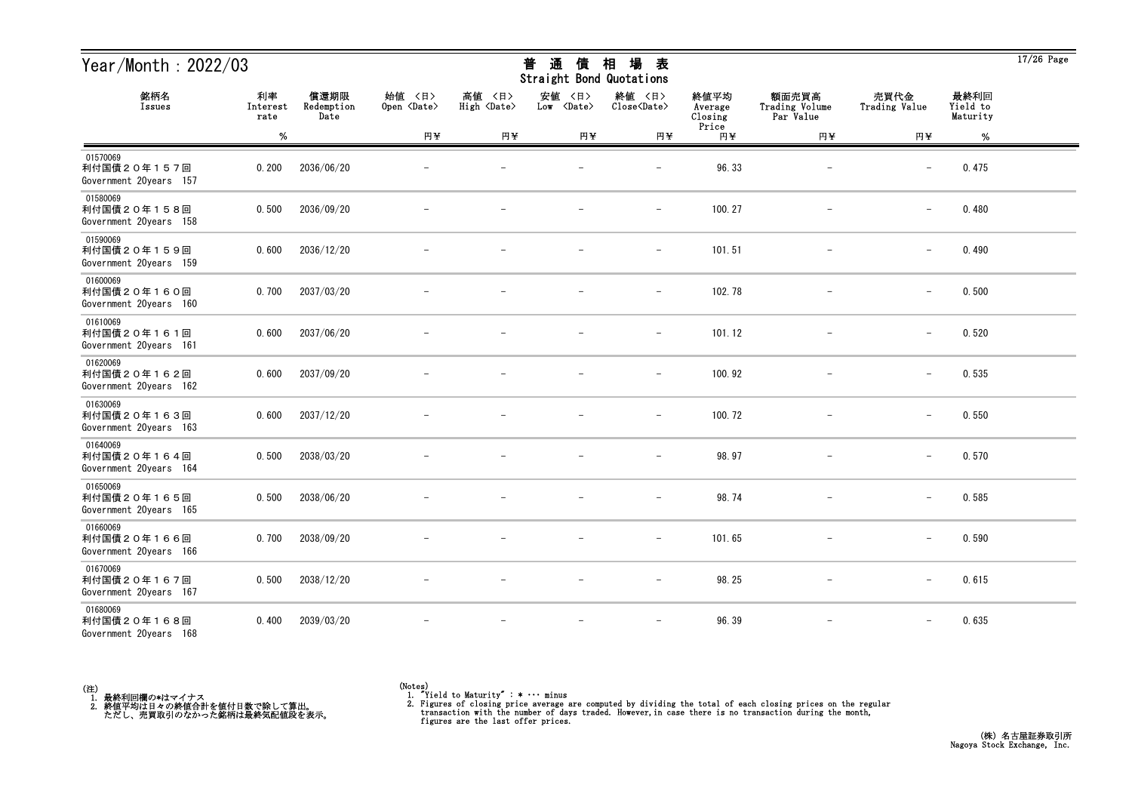| Year/Month: 2022/03                               |                        |                            |                              |                              | 通<br>普<br>債<br>Straight Bond Quotations | 場<br>相<br>表                   |                            |                                      |                          |                              | $17/26$ Page |
|---------------------------------------------------|------------------------|----------------------------|------------------------------|------------------------------|-----------------------------------------|-------------------------------|----------------------------|--------------------------------------|--------------------------|------------------------------|--------------|
| 銘柄名<br>Issues                                     | 利率<br>Interest<br>rate | 償還期限<br>Redemption<br>Date | 始值 〈日〉<br>Open <date></date> | 高値 〈日〉<br>High <date></date> | 安値<br>〈日〉<br>Low <date></date>          | 終値 〈日〉<br>Close <date></date> | 終値平均<br>Average<br>Closing | 額面売買高<br>Trading Volume<br>Par Value | 売買代金<br>Trading Value    | 最終利回<br>Yield to<br>Maturity |              |
|                                                   | $\%$                   |                            | 円半                           | 円半                           | 円半                                      | 円半                            | Price<br>円半                | 円半                                   | 円半                       | $\%$                         |              |
| 01570069<br>利付国債20年157回<br>Government 20years 157 | 0.200                  | 2036/06/20                 |                              |                              |                                         | $\overline{\phantom{m}}$      | 96.33                      |                                      | $\overline{\phantom{m}}$ | 0.475                        |              |
| 01580069<br>利付国債20年158回<br>Government 20years 158 | 0.500                  | 2036/09/20                 |                              |                              |                                         | $\overline{\phantom{a}}$      | 100.27                     |                                      | $\qquad \qquad -$        | 0.480                        |              |
| 01590069<br>利付国債20年159回<br>Government 20years 159 | 0.600                  | 2036/12/20                 |                              |                              |                                         | $\qquad \qquad -$             | 101.51                     |                                      | $\overline{\phantom{m}}$ | 0.490                        |              |
| 01600069<br>利付国債20年160回<br>Government 20years 160 | 0.700                  | 2037/03/20                 |                              |                              |                                         | $\overline{\phantom{m}}$      | 102.78                     | $\overline{\phantom{m}}$             | $\overline{\phantom{m}}$ | 0.500                        |              |
| 01610069<br>利付国債20年161回<br>Government 20years 161 | 0.600                  | 2037/06/20                 |                              |                              |                                         | $\overline{\phantom{a}}$      | 101.12                     | $\overline{\phantom{m}}$             | $\qquad \qquad -$        | 0.520                        |              |
| 01620069<br>利付国債20年162回<br>Government 20years 162 | 0.600                  | 2037/09/20                 |                              |                              |                                         | $\overline{\phantom{a}}$      | 100.92                     |                                      | $\qquad \qquad -$        | 0.535                        |              |
| 01630069<br>利付国債20年163回<br>Government 20years 163 | 0.600                  | 2037/12/20                 |                              |                              |                                         |                               | 100.72                     |                                      | $\overline{\phantom{m}}$ | 0.550                        |              |
| 01640069<br>利付国債20年164回<br>Government 20years 164 | 0.500                  | 2038/03/20                 |                              |                              |                                         | $\qquad \qquad -$             | 98.97                      | $\qquad \qquad -$                    | $\overline{\phantom{0}}$ | 0.570                        |              |
| 01650069<br>利付国債20年165回<br>Government 20years 165 | 0.500                  | 2038/06/20                 |                              |                              |                                         | $\qquad \qquad -$             | 98.74                      |                                      | $\overline{\phantom{m}}$ | 0.585                        |              |
| 01660069<br>利付国債20年166回<br>Government 20years 166 | 0.700                  | 2038/09/20                 |                              |                              | $\overline{\phantom{m}}$                | $\overline{\phantom{m}}$      | 101.65                     |                                      | $\qquad \qquad -$        | 0.590                        |              |
| 01670069<br>利付国債20年167回<br>Government 20years 167 | 0.500                  | 2038/12/20                 |                              |                              |                                         | $\overline{\phantom{0}}$      | 98.25                      |                                      | $\qquad \qquad -$        | 0.615                        |              |
| 01680069<br>利付国債20年168回<br>Government 20years 168 | 0.400                  | 2039/03/20                 |                              |                              |                                         | $\overline{\phantom{a}}$      | 96.39                      | $\overline{\phantom{m}}$             | $\overline{\phantom{m}}$ | 0.635                        |              |



<sup>(</sup>Notes) 1. "Yield to Maturity" : \* ・・・ minus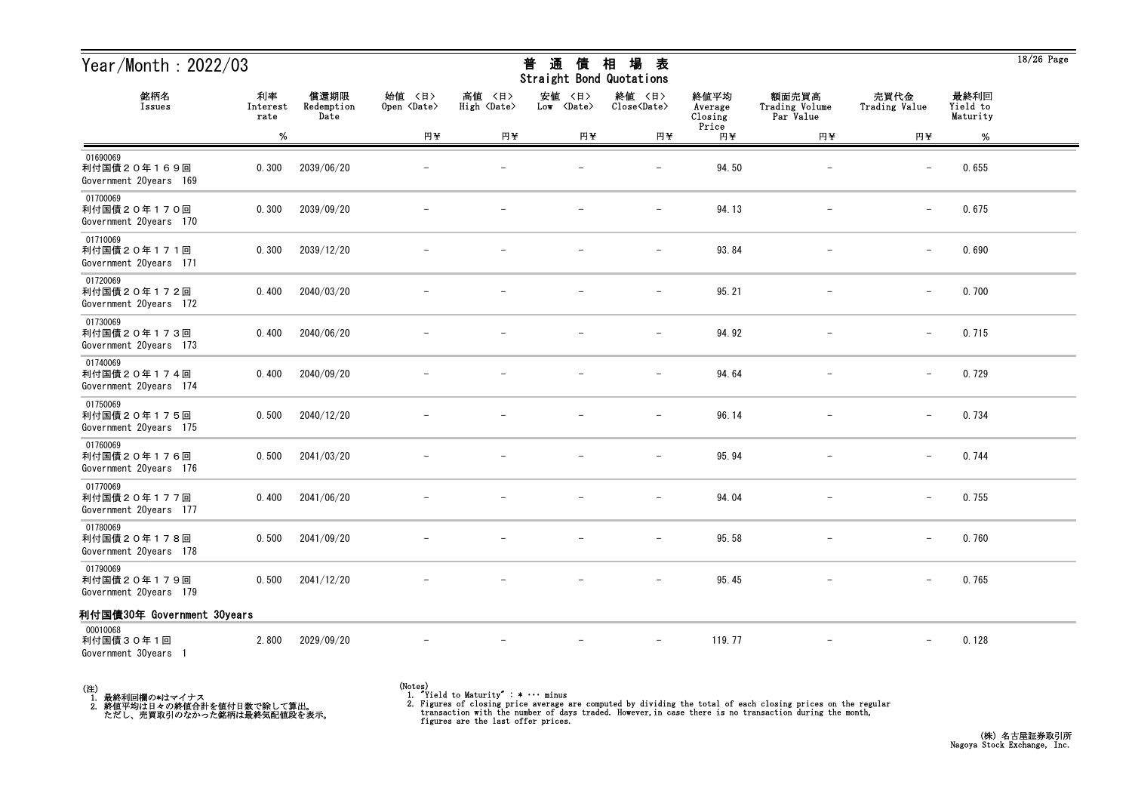| Year/Month: 2022/03                               |                        |                            |                              |                              | 普<br>通<br>債<br>Straight Bond Quotations | 場<br>相<br>表                   |                                     |                                      |                          |                              | $18/26$ Page |
|---------------------------------------------------|------------------------|----------------------------|------------------------------|------------------------------|-----------------------------------------|-------------------------------|-------------------------------------|--------------------------------------|--------------------------|------------------------------|--------------|
| 銘柄名<br>Issues                                     | 利率<br>Interest<br>rate | 償還期限<br>Redemption<br>Date | 始値 〈日〉<br>Open <date></date> | 高値 〈日〉<br>High <date></date> | 安値<br>〈日〉<br>Low <date></date>          | 終値 〈日〉<br>Close <date></date> | 終値平均<br>Average<br>Closing<br>Price | 額面売買高<br>Trading Volume<br>Par Value | 売買代金<br>Trading Value    | 最終利回<br>Yield to<br>Maturity |              |
|                                                   | %                      |                            | 円半                           | 円半                           | 円半                                      | 円半                            | 円半                                  | 円半                                   | 円半                       | %                            |              |
| 01690069<br>利付国債20年169回<br>Government 20years 169 | 0.300                  | 2039/06/20                 |                              |                              |                                         | $\overline{\phantom{0}}$      | 94.50                               |                                      | $\overline{\phantom{m}}$ | 0.655                        |              |
| 01700069<br>利付国債20年170回<br>Government 20years 170 | 0.300                  | 2039/09/20                 |                              |                              |                                         | $\overline{\phantom{m}}$      | 94.13                               | $\overline{\phantom{m}}$             | $\qquad \qquad -$        | 0.675                        |              |
| 01710069<br>利付国債20年171回<br>Government 20years 171 | 0.300                  | 2039/12/20                 |                              |                              |                                         | $\overline{\phantom{0}}$      | 93.84                               |                                      | $\overline{\phantom{m}}$ | 0.690                        |              |
| 01720069<br>利付国債20年172回<br>Government 20years 172 | 0.400                  | 2040/03/20                 |                              |                              |                                         | $\overline{\phantom{m}}$      | 95.21                               |                                      | $\qquad \qquad -$        | 0.700                        |              |
| 01730069<br>利付国債20年173回<br>Government 20years 173 | 0.400                  | 2040/06/20                 |                              |                              |                                         |                               | 94.92                               |                                      | $\overline{\phantom{0}}$ | 0.715                        |              |
| 01740069<br>利付国債20年174回<br>Government 20years 174 | 0.400                  | 2040/09/20                 |                              |                              |                                         | $\overline{\phantom{m}}$      | 94.64                               |                                      | $-$                      | 0.729                        |              |
| 01750069<br>利付国債20年175回<br>Government 20years 175 | 0.500                  | 2040/12/20                 |                              |                              |                                         | $\overline{\phantom{m}}$      | 96.14                               |                                      | $\qquad \qquad -$        | 0.734                        |              |
| 01760069<br>利付国債20年176回<br>Government 20years 176 | 0.500                  | 2041/03/20                 |                              |                              |                                         | $\overline{\phantom{0}}$      | 95.94                               |                                      | $\qquad \qquad -$        | 0.744                        |              |
| 01770069<br>利付国債20年177回<br>Government 20years 177 | 0.400                  | 2041/06/20                 |                              |                              |                                         |                               | 94.04                               |                                      | $\overline{\phantom{m}}$ | 0.755                        |              |
| 01780069<br>利付国債20年178回<br>Government 20years 178 | 0.500                  | 2041/09/20                 |                              |                              |                                         | $\overline{\phantom{a}}$      | 95.58                               |                                      | $\qquad \qquad -$        | 0.760                        |              |
| 01790069<br>利付国債20年179回<br>Government 20years 179 | 0.500                  | 2041/12/20                 |                              |                              |                                         | $-$                           | 95.45                               | $\overline{\phantom{m}}$             | $\qquad \qquad -$        | 0.765                        |              |
| 利付国債30年 Government 30years                        |                        |                            |                              |                              |                                         |                               |                                     |                                      |                          |                              |              |
| 00010068<br>利付国債30年1回<br>Government 30years 1     | 2.800                  | 2029/09/20                 |                              |                              |                                         | $\overline{\phantom{m}}$      | 119.77                              |                                      | $\qquad \qquad -$        | 0.128                        |              |

(注)<br>- 1.最終利回欄の\*はマイナス<br>- 2.終値平均は日々の終値合計を値付日数で除して算出。<br>- ただし、売買取引のなかった銘柄は最終気配値段を表示。

(Notes) 1. "Yield to Maturity" : \* ・・・ minus

2. Figures of closing price average are computed by dividing the total of each closing prices on the regular transaction with the number of days traded. However, in case there is no transaction during the month, figures ar

18/26 Page

### 普 通 債 相 場 表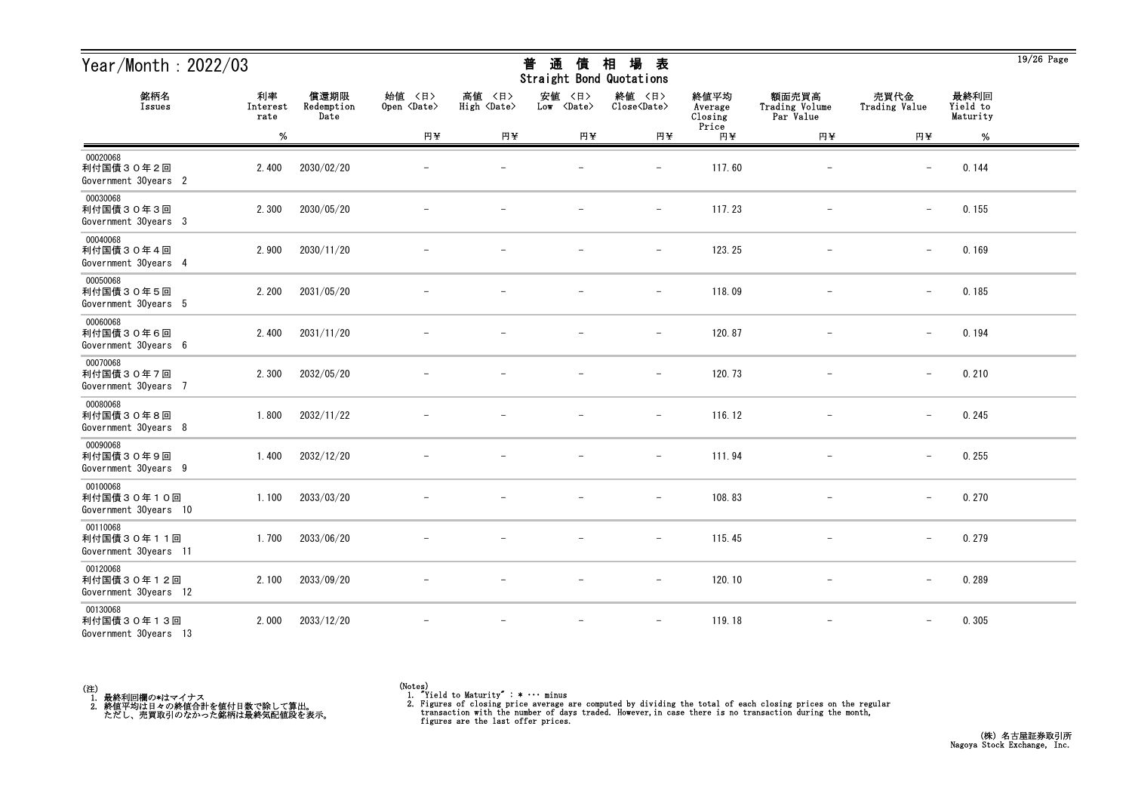| Year/Month: 2022/03                             |                        |                            |                              |                              | 通<br>普<br>債<br>Straight Bond Quotations | 場<br>相<br>表                   |                            |                                      |                          |                              | $19/26$ Page |
|-------------------------------------------------|------------------------|----------------------------|------------------------------|------------------------------|-----------------------------------------|-------------------------------|----------------------------|--------------------------------------|--------------------------|------------------------------|--------------|
| 銘柄名<br>Issues                                   | 利率<br>Interest<br>rate | 償還期限<br>Redemption<br>Date | 始值 〈日〉<br>Open <date></date> | 高値 〈日〉<br>High <date></date> | 安値<br>〈日〉<br>Low <date></date>          | 終値 〈日〉<br>Close <date></date> | 終値平均<br>Average<br>Closing | 額面売買高<br>Trading Volume<br>Par Value | 売買代金<br>Trading Value    | 最終利回<br>Yield to<br>Maturity |              |
|                                                 | $\%$                   |                            | 円半                           | 円半                           | 円半                                      | 円半                            | Price<br>円半                | 円半                                   | 円半                       | $\%$                         |              |
| 00020068<br>利付国債30年2回<br>Government 30years 2   | 2.400                  | 2030/02/20                 |                              |                              |                                         |                               | 117.60                     |                                      |                          | 0.144                        |              |
| 00030068<br>利付国債30年3回<br>Government 30years 3   | 2.300                  | 2030/05/20                 |                              |                              |                                         | $\qquad \qquad -$             | 117.23                     | $\overline{\phantom{a}}$             | $\overline{\phantom{0}}$ | 0.155                        |              |
| 00040068<br>利付国債30年4回<br>Government 30years 4   | 2.900                  | 2030/11/20                 |                              |                              |                                         | $\overline{\phantom{m}}$      | 123.25                     |                                      | $\overline{\phantom{m}}$ | 0.169                        |              |
| 00050068<br>利付国債30年5回<br>Government 30years 5   | 2.200                  | 2031/05/20                 |                              |                              |                                         | $\qquad \qquad -$             | 118.09                     |                                      | $-$                      | 0.185                        |              |
| 00060068<br>利付国債30年6回<br>Government 30years 6   | 2.400                  | 2031/11/20                 |                              |                              |                                         | $\overline{\phantom{m}}$      | 120.87                     |                                      | $\overline{\phantom{m}}$ | 0.194                        |              |
| 00070068<br>利付国債30年7回<br>Government 30years 7   | 2.300                  | 2032/05/20                 |                              |                              |                                         | $\overline{\phantom{m}}$      | 120.73                     | $\overline{\phantom{m}}$             | $\overline{\phantom{m}}$ | 0.210                        |              |
| 00080068<br>利付国債30年8回<br>Government 30years 8   | 1.800                  | 2032/11/22                 |                              |                              |                                         | $\overline{\phantom{m}}$      | 116.12                     | $\overline{\phantom{m}}$             | $\qquad \qquad -$        | 0.245                        |              |
| 00090068<br>利付国債30年9回<br>Government 30years 9   | 1.400                  | 2032/12/20                 |                              |                              |                                         | $\overline{\phantom{a}}$      | 111.94                     |                                      | $\qquad \qquad -$        | 0.255                        |              |
| 00100068<br>利付国債30年10回<br>Government 30years 10 | 1.100                  | 2033/03/20                 |                              |                              |                                         |                               | 108.83                     |                                      | $\overline{\phantom{m}}$ | 0.270                        |              |
| 00110068<br>利付国債30年11回<br>Government 30years 11 | 1.700                  | 2033/06/20                 |                              |                              | $\overline{\phantom{m}}$                | $\overline{\phantom{a}}$      | 115.45                     | $\overline{\phantom{m}}$             | $\overline{\phantom{m}}$ | 0.279                        |              |
| 00120068<br>利付国債30年12回<br>Government 30years 12 | 2.100                  | 2033/09/20                 | $\overline{\phantom{m}}$     |                              | $\overline{\phantom{m}}$                | $-$                           | 120.10                     | $-$                                  | $\qquad \qquad -$        | 0.289                        |              |
| 00130068<br>利付国債30年13回<br>Government 30years 13 | 2.000                  | 2033/12/20                 |                              |                              | $\overline{\phantom{m}}$                | $\overline{\phantom{m}}$      | 119.18                     | $\overline{\phantom{m}}$             | $\qquad \qquad -$        | 0.305                        |              |



19/26 Page

# <del>並</del> や茎 /生 +□ +曰 <del>土</del>

<sup>(</sup>Notes) 1. "Yield to Maturity" : \* ・・・ minus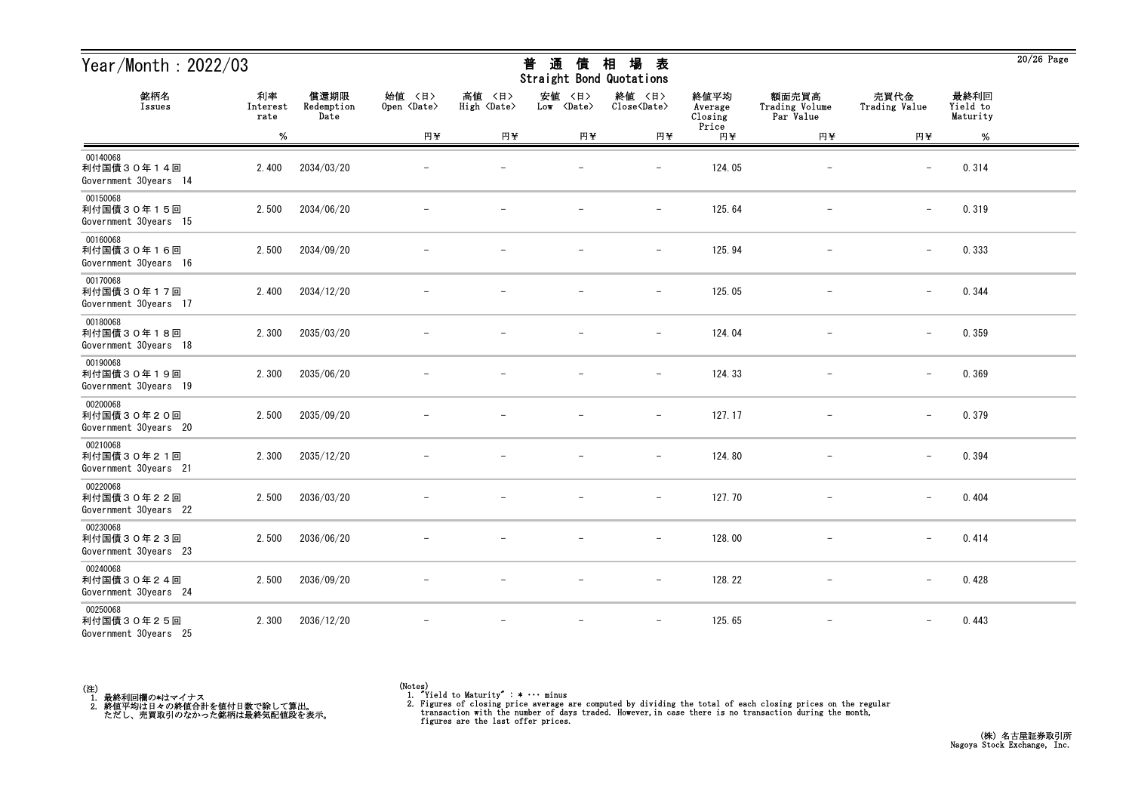| Year/Month: 2022/03                             |                        |                            |                              |                              | 通<br>普<br>債<br>Straight Bond Quotations | 場<br>相<br>表                   |                            |                                      |                          |                              | $20/26$ Page |
|-------------------------------------------------|------------------------|----------------------------|------------------------------|------------------------------|-----------------------------------------|-------------------------------|----------------------------|--------------------------------------|--------------------------|------------------------------|--------------|
| 銘柄名<br>Issues                                   | 利率<br>Interest<br>rate | 償還期限<br>Redemption<br>Date | 始值 〈日〉<br>Open <date></date> | 高値 〈日〉<br>High <date></date> | 安値<br>〈日〉<br>Low <date></date>          | 終値 〈日〉<br>Close <date></date> | 終値平均<br>Average<br>Closing | 額面売買高<br>Trading Volume<br>Par Value | 売買代金<br>Trading Value    | 最終利回<br>Yield to<br>Maturity |              |
|                                                 | $\%$                   |                            | 円半                           | 円半                           | 円半                                      | 円半                            | Price<br>円半                | 円半                                   | 円半                       | $\%$                         |              |
| 00140068<br>利付国債30年14回<br>Government 30years 14 | 2.400                  | 2034/03/20                 |                              |                              |                                         |                               | 124.05                     |                                      |                          | 0.314                        |              |
| 00150068<br>利付国債30年15回<br>Government 30years 15 | 2.500                  | 2034/06/20                 |                              |                              |                                         | $\qquad \qquad -$             | 125.64                     | $\overline{\phantom{a}}$             | $\overline{\phantom{0}}$ | 0.319                        |              |
| 00160068<br>利付国債30年16回<br>Government 30years 16 | 2.500                  | 2034/09/20                 |                              |                              |                                         | $\overline{\phantom{m}}$      | 125.94                     |                                      | $\qquad \qquad -$        | 0.333                        |              |
| 00170068<br>利付国債30年17回<br>Government 30years 17 | 2.400                  | 2034/12/20                 |                              |                              |                                         | $\qquad \qquad -$             | 125.05                     |                                      | $\qquad \qquad -$        | 0.344                        |              |
| 00180068<br>利付国債30年18回<br>Government 30years 18 | 2.300                  | 2035/03/20                 |                              |                              |                                         | $\overline{\phantom{m}}$      | 124.04                     |                                      | $\overline{\phantom{m}}$ | 0.359                        |              |
| 00190068<br>利付国債30年19回<br>Government 30years 19 | 2.300                  | 2035/06/20                 |                              |                              |                                         | $\overline{\phantom{m}}$      | 124.33                     | $\overline{\phantom{m}}$             | $\overline{\phantom{0}}$ | 0.369                        |              |
| 00200068<br>利付国債30年20回<br>Government 30years 20 | 2.500                  | 2035/09/20                 |                              |                              |                                         | $\overline{\phantom{a}}$      | 127.17                     | $\overline{\phantom{m}}$             | $\qquad \qquad -$        | 0.379                        |              |
| 00210068<br>利付国債30年21回<br>Government 30years 21 | 2.300                  | 2035/12/20                 |                              |                              |                                         | $\overline{\phantom{a}}$      | 124.80                     |                                      | $\qquad \qquad -$        | 0.394                        |              |
| 00220068<br>利付国債30年22回<br>Government 30years 22 | 2.500                  | 2036/03/20                 |                              |                              |                                         | $\overline{\phantom{0}}$      | 127.70                     |                                      | $\overline{\phantom{m}}$ | 0.404                        |              |
| 00230068<br>利付国債30年23回<br>Government 30years 23 | 2.500                  | 2036/06/20                 |                              |                              |                                         | $\overline{\phantom{a}}$      | 128.00                     |                                      | $\overline{\phantom{0}}$ | 0.414                        |              |
| 00240068<br>利付国債30年24回<br>Government 30years 24 | 2.500                  | 2036/09/20                 | $\overline{\phantom{m}}$     |                              | $\overline{\phantom{m}}$                | $-$                           | 128.22                     | $-$                                  | $\qquad \qquad -$        | 0.428                        |              |
| 00250068<br>利付国債30年25回<br>Government 30years 25 | 2.300                  | 2036/12/20                 |                              |                              | $\overline{\phantom{a}}$                | $\overline{\phantom{m}}$      | 125.65                     | $\overline{\phantom{m}}$             | $\qquad \qquad -$        | 0.443                        |              |



<sup>(</sup>Notes) 1. "Yield to Maturity" : \* ・・・ minus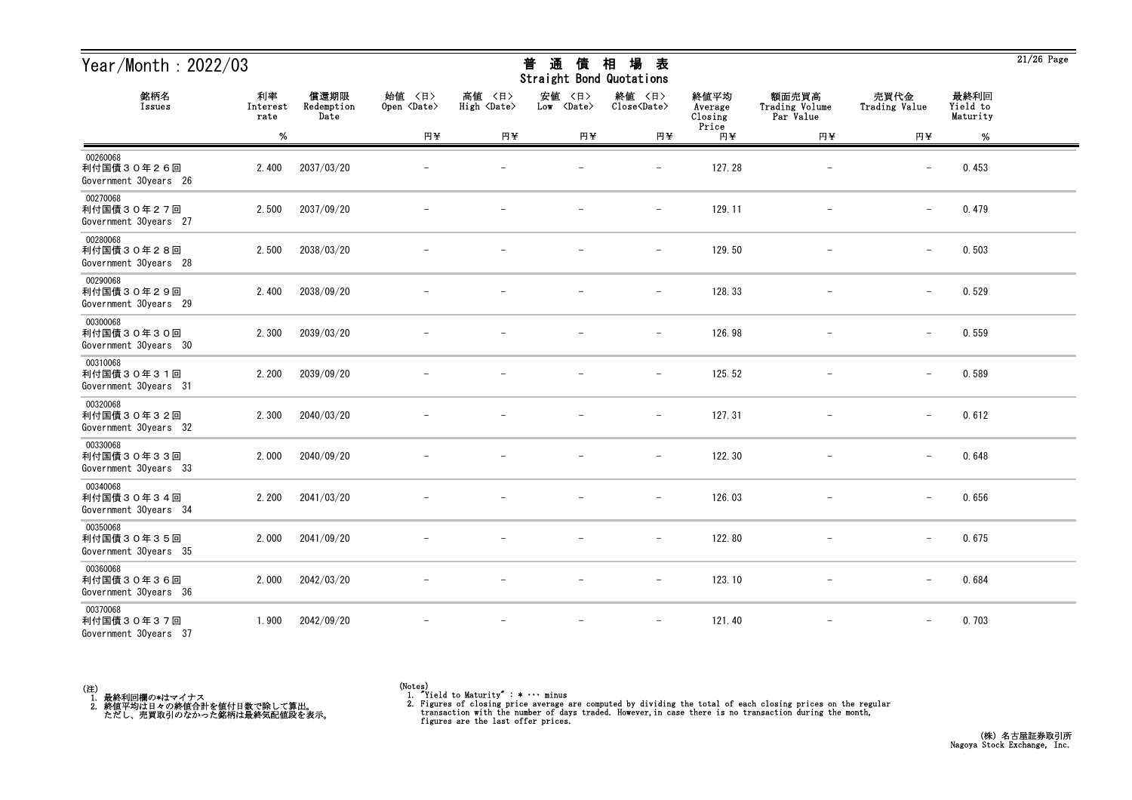| Year/Month: 2022/03                             |                        |                            |                              |                              | 通<br>普<br>債<br>Straight Bond Quotations | 場<br>相<br>表                   |                            |                                      |                          |                              | $21/26$ Page |
|-------------------------------------------------|------------------------|----------------------------|------------------------------|------------------------------|-----------------------------------------|-------------------------------|----------------------------|--------------------------------------|--------------------------|------------------------------|--------------|
| 銘柄名<br>Issues                                   | 利率<br>Interest<br>rate | 償還期限<br>Redemption<br>Date | 始值 〈日〉<br>Open <date></date> | 高値 〈日〉<br>High <date></date> | 安値<br>〈日〉<br>Low <date></date>          | 終値 〈日〉<br>Close <date></date> | 終値平均<br>Average<br>Closing | 額面売買高<br>Trading Volume<br>Par Value | 売買代金<br>Trading Value    | 最終利回<br>Yield to<br>Maturity |              |
|                                                 | $\%$                   |                            | 円半                           | 円半                           | 円半                                      | 円半                            | Price<br>円半                | 円半                                   | 円半                       | %                            |              |
| 00260068<br>利付国債30年26回<br>Government 30years 26 | 2.400                  | 2037/03/20                 |                              |                              |                                         |                               | 127.28                     |                                      |                          | 0.453                        |              |
| 00270068<br>利付国債30年27回<br>Government 30years 27 | 2.500                  | 2037/09/20                 |                              |                              |                                         | $\qquad \qquad -$             | 129.11                     | $\overline{\phantom{a}}$             | $\overline{\phantom{0}}$ | 0.479                        |              |
| 00280068<br>利付国債30年28回<br>Government 30years 28 | 2.500                  | 2038/03/20                 |                              |                              |                                         | $\overline{\phantom{m}}$      | 129.50                     |                                      | $\qquad \qquad -$        | 0.503                        |              |
| 00290068<br>利付国債30年29回<br>Government 30years 29 | 2.400                  | 2038/09/20                 |                              |                              |                                         | $\qquad \qquad -$             | 128.33                     |                                      | $\qquad \qquad -$        | 0.529                        |              |
| 00300068<br>利付国債30年30回<br>Government 30years 30 | 2.300                  | 2039/03/20                 |                              |                              |                                         | $\overline{\phantom{m}}$      | 126.98                     |                                      | $\overline{\phantom{m}}$ | 0.559                        |              |
| 00310068<br>利付国債30年31回<br>Government 30years 31 | 2.200                  | 2039/09/20                 |                              |                              |                                         | $\overline{\phantom{m}}$      | 125.52                     | $\overline{\phantom{m}}$             | $\qquad \qquad -$        | 0.589                        |              |
| 00320068<br>利付国債30年32回<br>Government 30years 32 | 2.300                  | 2040/03/20                 |                              |                              |                                         | $\overline{\phantom{a}}$      | 127.31                     | $\overline{\phantom{m}}$             | $\qquad \qquad -$        | 0.612                        |              |
| 00330068<br>利付国債30年33回<br>Government 30years 33 | 2.000                  | 2040/09/20                 |                              |                              |                                         | $\overline{\phantom{a}}$      | 122.30                     |                                      | $\qquad \qquad -$        | 0.648                        |              |
| 00340068<br>利付国債30年34回<br>Government 30years 34 | 2.200                  | 2041/03/20                 |                              |                              |                                         |                               | 126.03                     |                                      | $\overline{\phantom{m}}$ | 0.656                        |              |
| 00350068<br>利付国債30年35回<br>Government 30years 35 | 2.000                  | 2041/09/20                 |                              |                              |                                         | $\overline{\phantom{a}}$      | 122.80                     |                                      | $\overline{\phantom{0}}$ | 0.675                        |              |
| 00360068<br>利付国債30年36回<br>Government 30years 36 | 2.000                  | 2042/03/20                 | $\overline{\phantom{m}}$     |                              | $\overline{\phantom{m}}$                | $-$                           | 123.10                     | $-$                                  | $\qquad \qquad -$        | 0.684                        |              |
| 00370068<br>利付国債30年37回<br>Government 30years 37 | 1.900                  | 2042/09/20                 |                              |                              | $\overline{\phantom{m}}$                | $\overline{\phantom{m}}$      | 121.40                     | $\overline{\phantom{m}}$             | $\qquad \qquad -$        | 0.703                        |              |



<sup>(</sup>Notes) 1. "Yield to Maturity" : \* ・・・ minus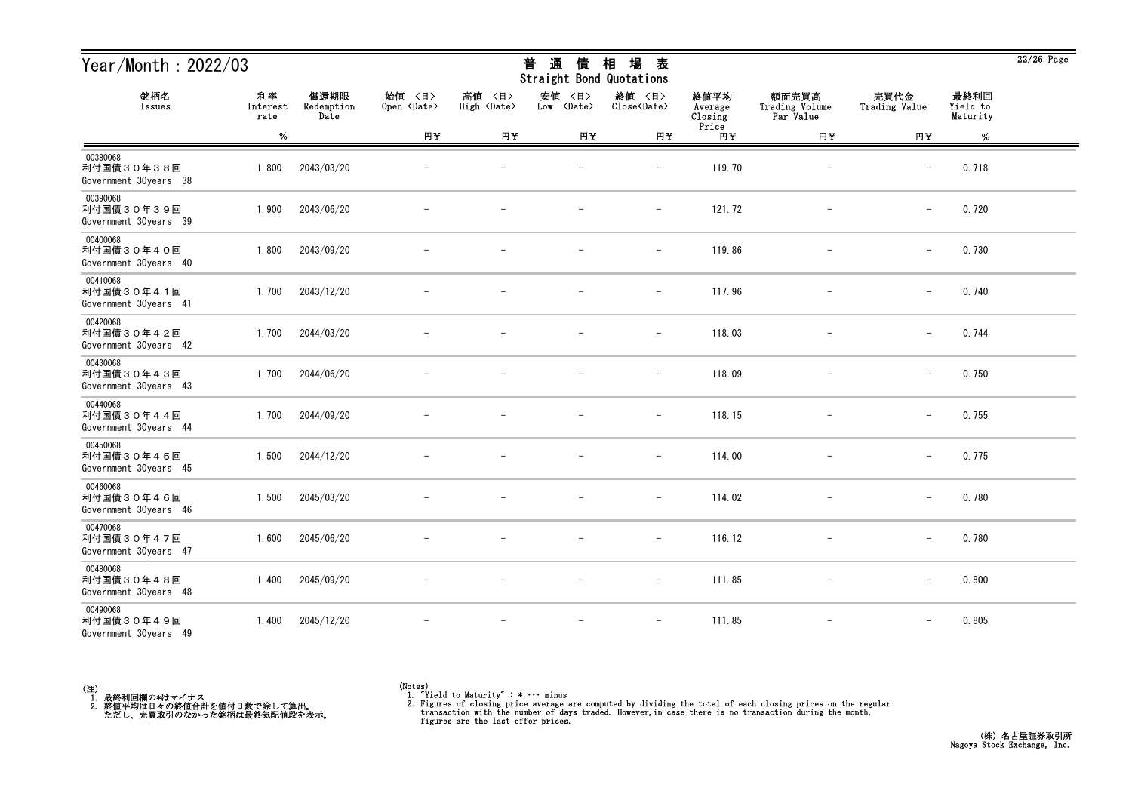| Year/Month: 2022/03                             |                        |                            |                              |                              | 通<br>普<br>債<br>Straight Bond Quotations | 場<br>相<br>表                   |                            |                                      |                          |                              | $22/26$ Page |
|-------------------------------------------------|------------------------|----------------------------|------------------------------|------------------------------|-----------------------------------------|-------------------------------|----------------------------|--------------------------------------|--------------------------|------------------------------|--------------|
| 銘柄名<br>Issues                                   | 利率<br>Interest<br>rate | 償還期限<br>Redemption<br>Date | 始值 〈日〉<br>Open <date></date> | 高値 〈日〉<br>High <date></date> | 安値<br>〈日〉<br>Low <date></date>          | 終値 〈日〉<br>Close <date></date> | 終値平均<br>Average<br>Closing | 額面売買高<br>Trading Volume<br>Par Value | 売買代金<br>Trading Value    | 最終利回<br>Yield to<br>Maturity |              |
|                                                 | $\%$                   |                            | 円半                           | 円半                           | 円半                                      | 円半                            | Price<br>円半                | 円半                                   | 円半                       | %                            |              |
| 00380068<br>利付国債30年38回<br>Government 30years 38 | 1.800                  | 2043/03/20                 |                              |                              |                                         |                               | 119.70                     |                                      |                          | 0.718                        |              |
| 00390068<br>利付国債30年39回<br>Government 30years 39 | 1.900                  | 2043/06/20                 |                              |                              |                                         | $\qquad \qquad -$             | 121.72                     | $\overline{\phantom{a}}$             | $\overline{\phantom{0}}$ | 0.720                        |              |
| 00400068<br>利付国債30年40回<br>Government 30years 40 | 1.800                  | 2043/09/20                 |                              |                              |                                         | $\overline{\phantom{m}}$      | 119.86                     |                                      | $\qquad \qquad -$        | 0.730                        |              |
| 00410068<br>利付国債30年41回<br>Government 30years 41 | 1.700                  | 2043/12/20                 |                              |                              |                                         | $\overline{\phantom{m}}$      | 117.96                     |                                      | $-$                      | 0.740                        |              |
| 00420068<br>利付国債30年42回<br>Government 30years 42 | 1.700                  | 2044/03/20                 |                              |                              |                                         | $\overline{\phantom{m}}$      | 118.03                     |                                      | $\overline{\phantom{m}}$ | 0.744                        |              |
| 00430068<br>利付国債30年43回<br>Government 30years 43 | 1.700                  | 2044/06/20                 |                              |                              |                                         | $\overline{\phantom{m}}$      | 118.09                     | $\overline{\phantom{m}}$             | $\overline{\phantom{m}}$ | 0.750                        |              |
| 00440068<br>利付国債30年44回<br>Government 30years 44 | 1.700                  | 2044/09/20                 |                              |                              |                                         | $\overline{\phantom{m}}$      | 118.15                     | $\overline{\phantom{m}}$             | $\qquad \qquad -$        | 0.755                        |              |
| 00450068<br>利付国債30年45回<br>Government 30years 45 | 1.500                  | 2044/12/20                 |                              |                              |                                         | $\overline{\phantom{a}}$      | 114.00                     |                                      | $\qquad \qquad -$        | 0.775                        |              |
| 00460068<br>利付国債30年46回<br>Government 30years 46 | 1.500                  | 2045/03/20                 |                              |                              |                                         | $\overline{\phantom{0}}$      | 114.02                     |                                      | $\overline{\phantom{m}}$ | 0.780                        |              |
| 00470068<br>利付国債30年47回<br>Government 30years 47 | 1.600                  | 2045/06/20                 |                              |                              | $\overline{\phantom{m}}$                | $\overline{\phantom{a}}$      | 116.12                     | $\overline{\phantom{m}}$             | $\overline{\phantom{0}}$ | 0.780                        |              |
| 00480068<br>利付国債30年48回<br>Government 30years 48 | 1.400                  | 2045/09/20                 | $\overline{\phantom{m}}$     | $\overline{\phantom{m}}$     | $\overline{\phantom{m}}$                | $ \,$                         | 111.85                     | $-$                                  | $-$                      | 0.800                        |              |
| 00490068<br>利付国債30年49回<br>Government 30years 49 | 1.400                  | 2045/12/20                 |                              | $\overline{\phantom{m}}$     | $\overline{\phantom{m}}$                | $-$                           | 111.85                     | $\overline{\phantom{m}}$             | $\qquad \qquad -$        | 0.805                        |              |



<sup>(</sup>Notes) 1. "Yield to Maturity" : \* ・・・ minus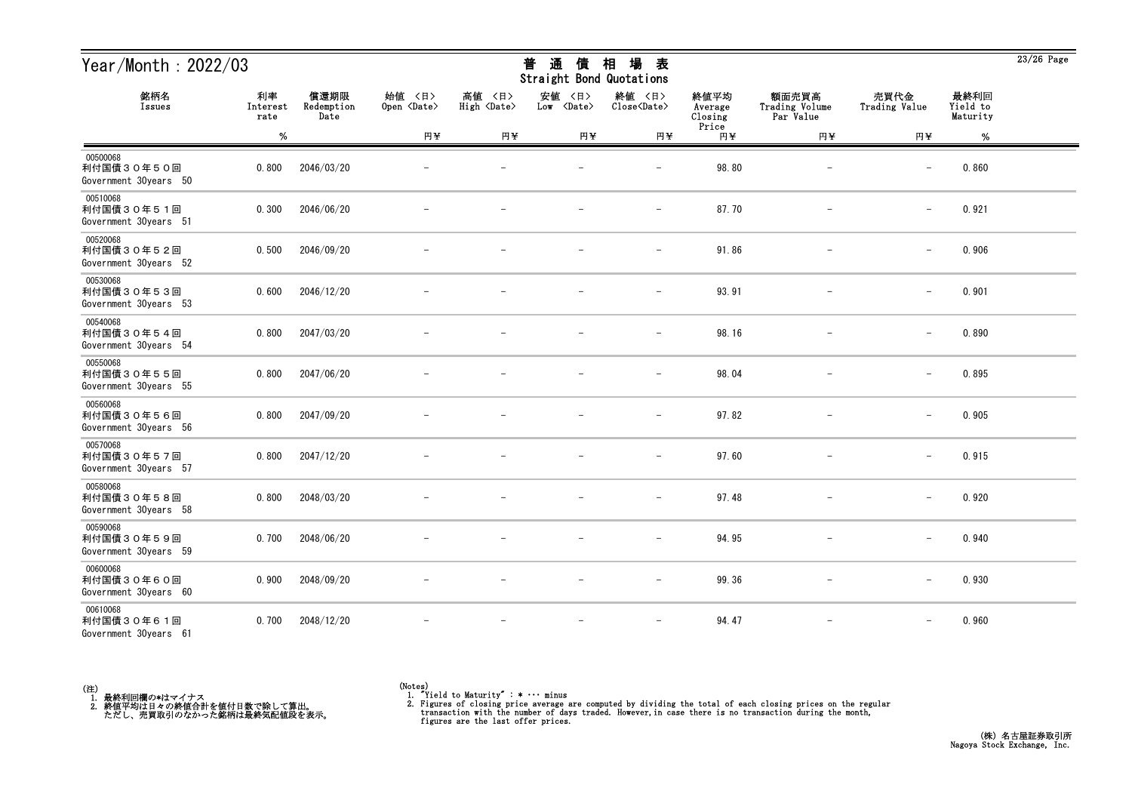| Year/Month: 2022/03                             |                        |                            |                              |                              | 通<br>普<br>債<br>Straight Bond Quotations | 場<br>相<br>表                   |                            |                                      |                          |                              | $23/26$ Page |
|-------------------------------------------------|------------------------|----------------------------|------------------------------|------------------------------|-----------------------------------------|-------------------------------|----------------------------|--------------------------------------|--------------------------|------------------------------|--------------|
| 銘柄名<br>Issues                                   | 利率<br>Interest<br>rate | 償還期限<br>Redemption<br>Date | 始值 〈日〉<br>Open <date></date> | 高値 〈日〉<br>High <date></date> | 安値<br>〈日〉<br>Low <date></date>          | 終値 〈日〉<br>Close <date></date> | 終値平均<br>Average<br>Closing | 額面売買高<br>Trading Volume<br>Par Value | 売買代金<br>Trading Value    | 最終利回<br>Yield to<br>Maturity |              |
|                                                 | $\%$                   |                            | 円半                           | 円半                           | 円半                                      | 円半                            | Price<br>円半                | 円半                                   | 円半                       | %                            |              |
| 00500068<br>利付国債30年50回<br>Government 30years 50 | 0.800                  | 2046/03/20                 |                              |                              |                                         |                               | 98.80                      |                                      |                          | 0.860                        |              |
| 00510068<br>利付国債30年51回<br>Government 30years 51 | 0.300                  | 2046/06/20                 |                              |                              |                                         | $\overline{\phantom{a}}$      | 87.70                      | $\overline{\phantom{a}}$             | $\overline{\phantom{0}}$ | 0.921                        |              |
| 00520068<br>利付国債30年52回<br>Government 30years 52 | 0.500                  | 2046/09/20                 |                              |                              |                                         | $\qquad \qquad -$             | 91.86                      |                                      | $\overline{\phantom{m}}$ | 0.906                        |              |
| 00530068<br>利付国債30年53回<br>Government 30years 53 | 0.600                  | 2046/12/20                 |                              |                              |                                         | $\overline{\phantom{a}}$      | 93.91                      |                                      | $\qquad \qquad -$        | 0.901                        |              |
| 00540068<br>利付国債30年54回<br>Government 30years 54 | 0.800                  | 2047/03/20                 |                              |                              |                                         | $\overline{\phantom{0}}$      | 98.16                      |                                      | $\overline{\phantom{m}}$ | 0.890                        |              |
| 00550068<br>利付国債30年55回<br>Government 30years 55 | 0.800                  | 2047/06/20                 |                              |                              |                                         | $\qquad \qquad -$             | 98.04                      | $\qquad \qquad -$                    | $\qquad \qquad -$        | 0.895                        |              |
| 00560068<br>利付国債30年56回<br>Government 30years 56 | 0.800                  | 2047/09/20                 |                              |                              |                                         | $\overline{\phantom{m}}$      | 97.82                      | $\overline{\phantom{m}}$             | $\qquad \qquad -$        | 0.905                        |              |
| 00570068<br>利付国債30年57回<br>Government 30years 57 | 0.800                  | 2047/12/20                 |                              |                              |                                         | $\overline{\phantom{m}}$      | 97.60                      |                                      | $\qquad \qquad -$        | 0.915                        |              |
| 00580068<br>利付国債30年58回<br>Government 30years 58 | 0.800                  | 2048/03/20                 |                              |                              |                                         |                               | 97.48                      |                                      | $\overline{\phantom{m}}$ | 0.920                        |              |
| 00590068<br>利付国債30年59回<br>Government 30years 59 | 0.700                  | 2048/06/20                 |                              |                              |                                         | $\qquad \qquad -$             | 94.95                      |                                      | $\overline{\phantom{0}}$ | 0.940                        |              |
| 00600068<br>利付国債30年60回<br>Government 30years 60 | 0.900                  | 2048/09/20                 | $\overline{\phantom{m}}$     |                              | $\overline{\phantom{m}}$                | $-$                           | 99.36                      | $-$                                  | $\qquad \qquad -$        | 0.930                        |              |
| 00610068<br>利付国債30年61回<br>Government 30years 61 | 0.700                  | 2048/12/20                 |                              |                              | $\overline{\phantom{a}}$                | $\overline{\phantom{m}}$      | 94.47                      | $\overline{\phantom{m}}$             | $\qquad \qquad -$        | 0.960                        |              |



<sup>(</sup>Notes) 1. "Yield to Maturity" : \* ・・・ minus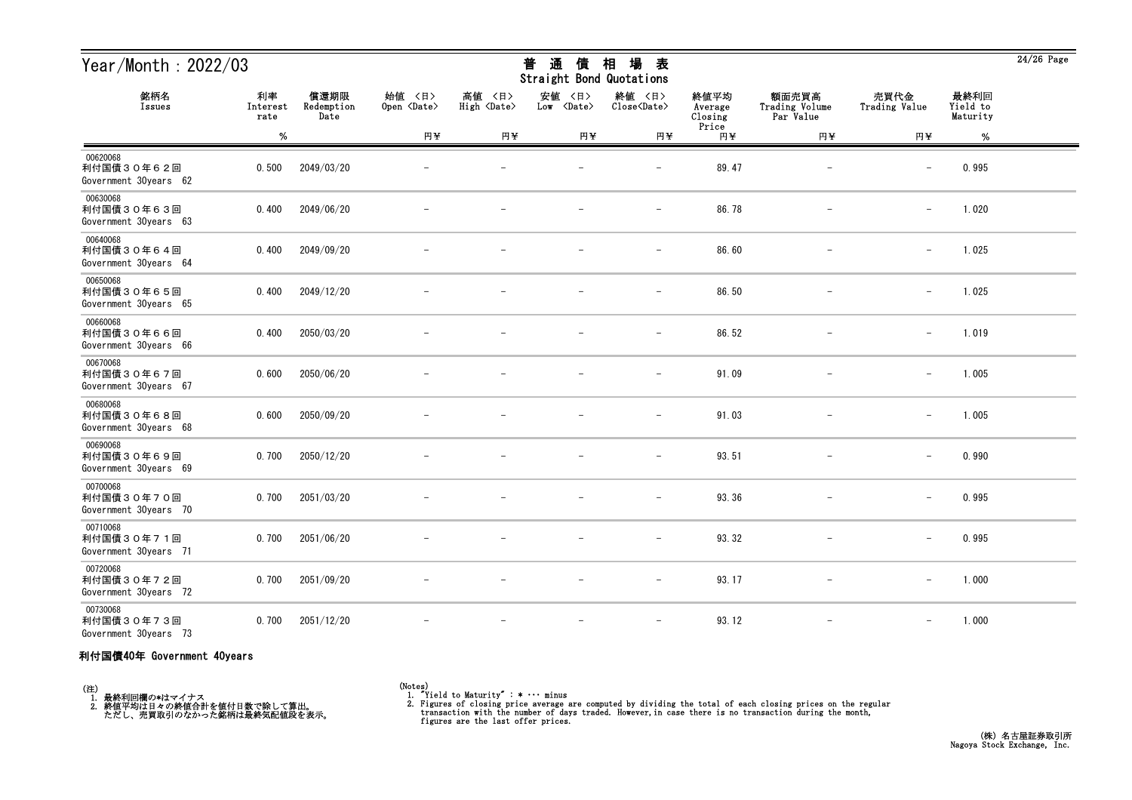| Year/Month: 2022/03                             |                        |                            |                              |                              | 普<br>通<br>債<br>Straight Bond Quotations | 場<br>相<br>表                   |                            |                                      |                          |                              | $24/26$ Page |
|-------------------------------------------------|------------------------|----------------------------|------------------------------|------------------------------|-----------------------------------------|-------------------------------|----------------------------|--------------------------------------|--------------------------|------------------------------|--------------|
| 銘柄名<br>Issues                                   | 利率<br>Interest<br>rate | 償還期限<br>Redemption<br>Date | 始値 〈日〉<br>Open <date></date> | 高値 〈日〉<br>High <date></date> | 安値<br>〈日〉<br>Low <date></date>          | 終値 〈日〉<br>Close <date></date> | 終値平均<br>Average<br>Closing | 額面売買高<br>Trading Volume<br>Par Value | 売買代金<br>Trading Value    | 最終利回<br>Yield to<br>Maturity |              |
|                                                 | %                      |                            | 円半                           | 円半                           | 円半                                      | 円半                            | Price<br>円半                | 円半                                   | 円半                       | $\%$                         |              |
| 00620068<br>利付国債30年62回<br>Government 30years 62 | 0.500                  | 2049/03/20                 |                              |                              |                                         | $\overline{\phantom{m}}$      | 89.47                      | $\overline{\phantom{m}}$             | $\overline{\phantom{m}}$ | 0.995                        |              |
| 00630068<br>利付国債30年63回<br>Government 30years 63 | 0.400                  | 2049/06/20                 |                              |                              |                                         | $\overline{\phantom{m}}$      | 86.78                      |                                      | $\qquad \qquad -$        | 1.020                        |              |
| 00640068<br>利付国債30年64回<br>Government 30years 64 | 0.400                  | 2049/09/20                 |                              |                              |                                         | $\overline{\phantom{0}}$      | 86.60                      |                                      | $\overline{\phantom{m}}$ | 1.025                        |              |
| 00650068<br>利付国債30年65回<br>Government 30years 65 | 0.400                  | 2049/12/20                 |                              |                              |                                         | $\overline{\phantom{m}}$      | 86.50                      | $\overline{\phantom{m}}$             | $\qquad \qquad -$        | 1.025                        |              |
| 00660068<br>利付国債30年66回<br>Government 30years 66 | 0.400                  | 2050/03/20                 |                              |                              |                                         | $\overline{\phantom{m}}$      | 86.52                      |                                      | $\qquad \qquad -$        | 1.019                        |              |
| 00670068<br>利付国債30年67回<br>Government 30years 67 | 0.600                  | 2050/06/20                 |                              |                              |                                         | $\overline{\phantom{0}}$      | 91.09                      |                                      | $\overline{\phantom{0}}$ | 1.005                        |              |
| 00680068<br>利付国債30年68回<br>Government 30years 68 | 0.600                  | 2050/09/20                 |                              |                              |                                         |                               | 91.03                      |                                      |                          | 1.005                        |              |
| 00690068<br>利付国債30年69回<br>Government 30years 69 | 0.700                  | 2050/12/20                 |                              |                              |                                         | $\overline{\phantom{m}}$      | 93.51                      |                                      | $\overline{\phantom{m}}$ | 0.990                        |              |
| 00700068<br>利付国債30年70回<br>Government 30years 70 | 0.700                  | 2051/03/20                 |                              |                              |                                         | $\overline{\phantom{m}}$      | 93.36                      |                                      | $\qquad \qquad -$        | 0.995                        |              |
| 00710068<br>利付国債30年71回<br>Government 30years 71 | 0.700                  | 2051/06/20                 |                              |                              |                                         | $\overline{\phantom{m}}$      | 93.32                      | $\overline{\phantom{m}}$             | $\qquad \qquad -$        | 0.995                        |              |
| 00720068<br>利付国債30年72回<br>Government 30years 72 | 0.700                  | 2051/09/20                 |                              |                              |                                         | $\overline{\phantom{m}}$      | 93.17                      | $\overline{\phantom{m}}$             | $\qquad \qquad -$        | 1.000                        |              |
| 00730068<br>利付国債30年73回<br>Government 30years 73 | 0.700                  | 2051/12/20                 |                              |                              |                                         | $\overline{\phantom{m}}$      | 93.12                      | $\overline{\phantom{m}}$             | $-$                      | 1.000                        |              |

#### 利付国債40年 Government 40years

(注)<br>- 1.最終利回欄の\*はマイナス<br>- 2.終値平均は日々の終値合計を値付日数で除して算出。<br>- ただし、売買取引のなかった銘柄は最終気配値段を表示。

(Notes) 1. "Yield to Maturity" : \* ・・・ minus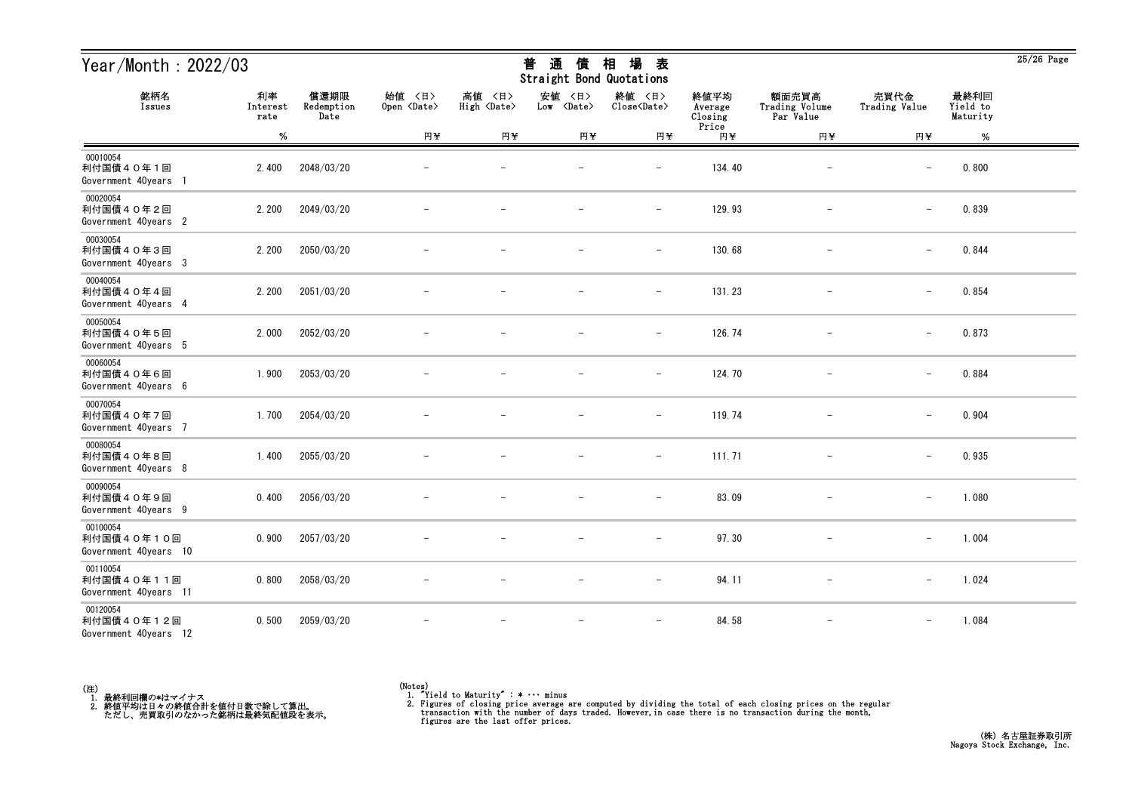| Year/Month: 2022/03                             |                        |                            | 場<br>普<br>通<br>相<br>表<br>債<br>Straight Bond Quotations |                              |                                |                               |                            |                                      |                          | $25/26$ Page                 |  |
|-------------------------------------------------|------------------------|----------------------------|--------------------------------------------------------|------------------------------|--------------------------------|-------------------------------|----------------------------|--------------------------------------|--------------------------|------------------------------|--|
| 銘柄名<br>Issues                                   | 利率<br>Interest<br>rate | 償還期限<br>Redemption<br>Date | 始値 〈日〉<br>Open <date></date>                           | 高値 〈日〉<br>High <date></date> | 安値<br>〈日〉<br>Low <date></date> | 終値 〈日〉<br>Close <date></date> | 終値平均<br>Average<br>Closing | 額面売買高<br>Trading Volume<br>Par Value | 売買代金<br>Trading Value    | 最終利回<br>Yield to<br>Maturity |  |
|                                                 | %                      |                            | 円半                                                     | 円半                           | 円半                             | 円半                            | Price<br>円半                | 円半                                   | 円半                       | %                            |  |
| 00010054<br>利付国債40年1回<br>Government 40years 1   | 2.400                  | 2048/03/20                 |                                                        |                              |                                | $\overline{\phantom{0}}$      | 134.40                     | $\qquad \qquad -$                    | $\overline{\phantom{m}}$ | 0.800                        |  |
| 00020054<br>利付国債40年2回<br>Government 40years 2   | 2.200                  | 2049/03/20                 |                                                        |                              |                                | $\qquad \qquad -$             | 129.93                     | $\qquad \qquad -$                    | $\qquad \qquad -$        | 0.839                        |  |
| 00030054<br>利付国債40年3回<br>Government 40years 3   | 2.200                  | 2050/03/20                 |                                                        |                              |                                | $\overline{\phantom{m}}$      | 130.68                     |                                      | $\overline{\phantom{m}}$ | 0.844                        |  |
| 00040054<br>利付国債40年4回<br>Government 40years 4   | 2.200                  | 2051/03/20                 |                                                        |                              |                                | $\overline{\phantom{m}}$      | 131.23                     |                                      | $\qquad \qquad -$        | 0.854                        |  |
| 00050054<br>利付国債40年5回<br>Government 40years 5   | 2.000                  | 2052/03/20                 |                                                        |                              |                                | $\overline{\phantom{0}}$      | 126.74                     |                                      | $\overline{\phantom{m}}$ | 0.873                        |  |
| 00060054<br>利付国債40年6回<br>Government 40years 6   | 1.900                  | 2053/03/20                 |                                                        |                              |                                | $\overline{\phantom{m}}$      | 124.70                     |                                      | $\overline{\phantom{m}}$ | 0.884                        |  |
| 00070054<br>利付国債40年7回<br>Government 40years 7   | 1.700                  | 2054/03/20                 |                                                        |                              |                                | $\overline{\phantom{m}}$      | 119.74                     | $\overline{\phantom{m}}$             | $\overline{\phantom{m}}$ | 0.904                        |  |
| 00080054<br>利付国債40年8回<br>Government 40years 8   | 1.400                  | 2055/03/20                 |                                                        |                              |                                | $\overline{\phantom{m}}$      | 111.71                     |                                      | $\qquad \qquad -$        | 0.935                        |  |
| 00090054<br>利付国債40年9回<br>Government 40years 9   | 0.400                  | 2056/03/20                 |                                                        |                              |                                |                               | 83.09                      |                                      | $\overline{\phantom{m}}$ | 1.080                        |  |
| 00100054<br>利付国債40年10回<br>Government 40years 10 | 0.900                  | 2057/03/20                 |                                                        |                              |                                | $\overline{\phantom{a}}$      | 97.30                      |                                      | $\qquad \qquad -$        | 1.004                        |  |
| 00110054<br>利付国債40年11回<br>Government 40years 11 | 0.800                  | 2058/03/20                 | $-$                                                    | $\overline{\phantom{m}}$     | $-$                            | $-$                           | 94.11                      | $-$                                  | $-$                      | 1.024                        |  |
| 00120054<br>利付国債40年12回<br>Government 40years 12 | 0.500                  | 2059/03/20                 | $\overline{\phantom{m}}$                               | $\overline{\phantom{m}}$     | $-$                            | $\overline{\phantom{m}}$      | 84.58                      | $\overline{\phantom{m}}$             | $-$                      | 1.084                        |  |



25/26 Page

## <del>並</del> や茎 /生 +□ +曰 <del>土</del>

<sup>(</sup>Notes) 1. "Yield to Maturity" : \* ・・・ minus